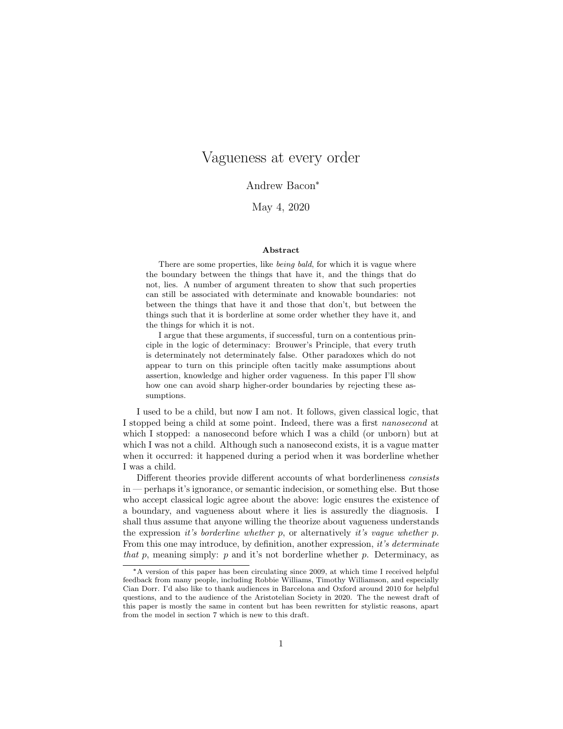# Vagueness at every order

### Andrew Bacon\*

### May 4, 2020

#### Abstract

There are some properties, like *being bald*, for which it is vague where the boundary between the things that have it, and the things that do not, lies. A number of argument threaten to show that such properties can still be associated with determinate and knowable boundaries: not between the things that have it and those that don't, but between the things such that it is borderline at some order whether they have it, and the things for which it is not.

I argue that these arguments, if successful, turn on a contentious principle in the logic of determinacy: Brouwer's Principle, that every truth is determinately not determinately false. Other paradoxes which do not appear to turn on this principle often tacitly make assumptions about assertion, knowledge and higher order vagueness. In this paper I'll show how one can avoid sharp higher-order boundaries by rejecting these assumptions.

I used to be a child, but now I am not. It follows, given classical logic, that I stopped being a child at some point. Indeed, there was a first nanosecond at which I stopped: a nanosecond before which I was a child (or unborn) but at which I was not a child. Although such a nanosecond exists, it is a vague matter when it occurred: it happened during a period when it was borderline whether I was a child.

Different theories provide different accounts of what borderlineness consists in — perhaps it's ignorance, or semantic indecision, or something else. But those who accept classical logic agree about the above: logic ensures the existence of a boundary, and vagueness about where it lies is assuredly the diagnosis. I shall thus assume that anyone willing the theorize about vagueness understands the expression *it's borderline whether* p, or alternatively *it's vague whether* p. From this one may introduce, by definition, another expression, it's determinate that p, meaning simply: p and it's not borderline whether p. Determinacy, as

<sup>\*</sup>A version of this paper has been circulating since 2009, at which time I received helpful feedback from many people, including Robbie Williams, Timothy Williamson, and especially Cian Dorr. I'd also like to thank audiences in Barcelona and Oxford around 2010 for helpful questions, and to the audience of the Aristotelian Society in 2020. The the newest draft of this paper is mostly the same in content but has been rewritten for stylistic reasons, apart from the model in section 7 which is new to this draft.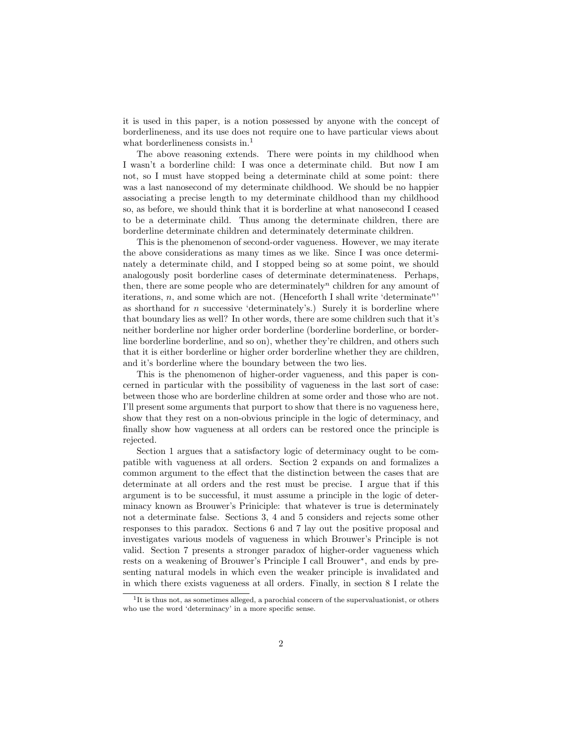it is used in this paper, is a notion possessed by anyone with the concept of borderlineness, and its use does not require one to have particular views about what borderlineness consists in.<sup>1</sup>

The above reasoning extends. There were points in my childhood when I wasn't a borderline child: I was once a determinate child. But now I am not, so I must have stopped being a determinate child at some point: there was a last nanosecond of my determinate childhood. We should be no happier associating a precise length to my determinate childhood than my childhood so, as before, we should think that it is borderline at what nanosecond I ceased to be a determinate child. Thus among the determinate children, there are borderline determinate children and determinately determinate children.

This is the phenomenon of second-order vagueness. However, we may iterate the above considerations as many times as we like. Since I was once determinately a determinate child, and I stopped being so at some point, we should analogously posit borderline cases of determinate determinateness. Perhaps, then, there are some people who are determinately<sup>n</sup> children for any amount of iterations,  $n$ , and some which are not. (Henceforth I shall write 'determinate<sup>n'</sup> as shorthand for  $n$  successive 'determinately's.) Surely it is borderline where that boundary lies as well? In other words, there are some children such that it's neither borderline nor higher order borderline (borderline borderline, or borderline borderline borderline, and so on), whether they're children, and others such that it is either borderline or higher order borderline whether they are children, and it's borderline where the boundary between the two lies.

This is the phenomenon of higher-order vagueness, and this paper is concerned in particular with the possibility of vagueness in the last sort of case: between those who are borderline children at some order and those who are not. I'll present some arguments that purport to show that there is no vagueness here, show that they rest on a non-obvious principle in the logic of determinacy, and finally show how vagueness at all orders can be restored once the principle is rejected.

Section 1 argues that a satisfactory logic of determinacy ought to be compatible with vagueness at all orders. Section 2 expands on and formalizes a common argument to the effect that the distinction between the cases that are determinate at all orders and the rest must be precise. I argue that if this argument is to be successful, it must assume a principle in the logic of determinacy known as Brouwer's Priniciple: that whatever is true is determinately not a determinate false. Sections 3, 4 and 5 considers and rejects some other responses to this paradox. Sections 6 and 7 lay out the positive proposal and investigates various models of vagueness in which Brouwer's Principle is not valid. Section 7 presents a stronger paradox of higher-order vagueness which rests on a weakening of Brouwer's Principle I call Brouwer<sup>\*</sup>, and ends by presenting natural models in which even the weaker principle is invalidated and in which there exists vagueness at all orders. Finally, in section 8 I relate the

<sup>&</sup>lt;sup>1</sup>It is thus not, as sometimes alleged, a parochial concern of the supervaluationist, or others who use the word 'determinacy' in a more specific sense.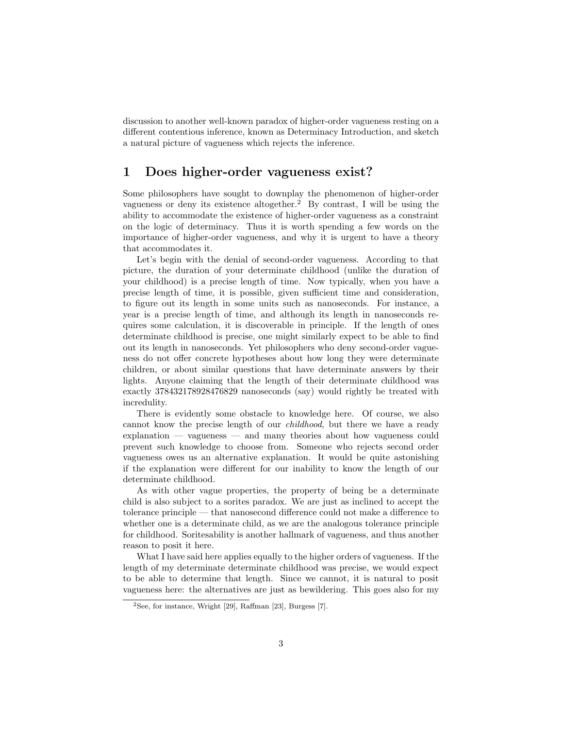discussion to another well-known paradox of higher-order vagueness resting on a different contentious inference, known as Determinacy Introduction, and sketch a natural picture of vagueness which rejects the inference.

# 1 Does higher-order vagueness exist?

Some philosophers have sought to downplay the phenomenon of higher-order vagueness or deny its existence altogether.<sup>2</sup> By contrast, I will be using the ability to accommodate the existence of higher-order vagueness as a constraint on the logic of determinacy. Thus it is worth spending a few words on the importance of higher-order vagueness, and why it is urgent to have a theory that accommodates it.

Let's begin with the denial of second-order vagueness. According to that picture, the duration of your determinate childhood (unlike the duration of your childhood) is a precise length of time. Now typically, when you have a precise length of time, it is possible, given sufficient time and consideration, to figure out its length in some units such as nanoseconds. For instance, a year is a precise length of time, and although its length in nanoseconds requires some calculation, it is discoverable in principle. If the length of ones determinate childhood is precise, one might similarly expect to be able to find out its length in nanoseconds. Yet philosophers who deny second-order vagueness do not offer concrete hypotheses about how long they were determinate children, or about similar questions that have determinate answers by their lights. Anyone claiming that the length of their determinate childhood was exactly 378432178928476829 nanoseconds (say) would rightly be treated with incredulity.

There is evidently some obstacle to knowledge here. Of course, we also cannot know the precise length of our childhood, but there we have a ready explanation — vagueness — and many theories about how vagueness could prevent such knowledge to choose from. Someone who rejects second order vagueness owes us an alternative explanation. It would be quite astonishing if the explanation were different for our inability to know the length of our determinate childhood.

As with other vague properties, the property of being be a determinate child is also subject to a sorites paradox. We are just as inclined to accept the tolerance principle — that nanosecond difference could not make a difference to whether one is a determinate child, as we are the analogous tolerance principle for childhood. Soritesability is another hallmark of vagueness, and thus another reason to posit it here.

What I have said here applies equally to the higher orders of vagueness. If the length of my determinate determinate childhood was precise, we would expect to be able to determine that length. Since we cannot, it is natural to posit vagueness here: the alternatives are just as bewildering. This goes also for my

<sup>&</sup>lt;sup>2</sup>See, for instance, Wright [29], Raffman [23], Burgess [7].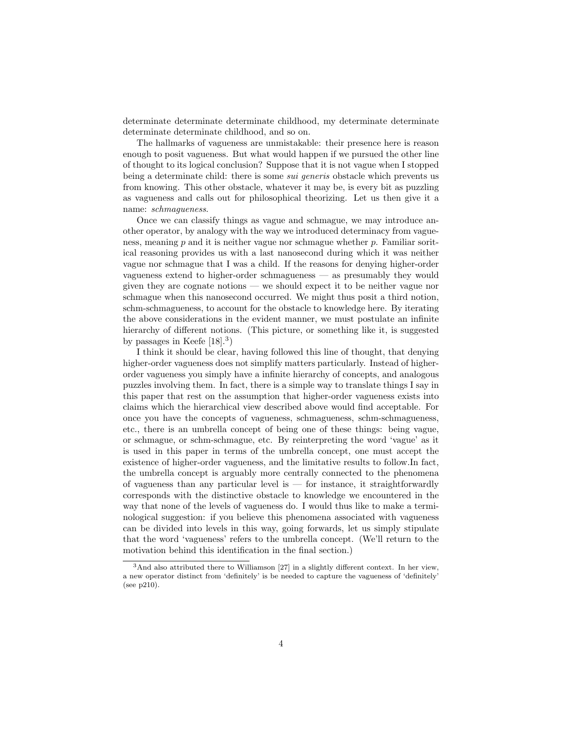determinate determinate determinate childhood, my determinate determinate determinate determinate childhood, and so on.

The hallmarks of vagueness are unmistakable: their presence here is reason enough to posit vagueness. But what would happen if we pursued the other line of thought to its logical conclusion? Suppose that it is not vague when I stopped being a determinate child: there is some *sui generis* obstacle which prevents us from knowing. This other obstacle, whatever it may be, is every bit as puzzling as vagueness and calls out for philosophical theorizing. Let us then give it a name: schmagueness.

Once we can classify things as vague and schmague, we may introduce another operator, by analogy with the way we introduced determinacy from vagueness, meaning  $p$  and it is neither vague nor schmague whether  $p$ . Familiar soritical reasoning provides us with a last nanosecond during which it was neither vague nor schmague that I was a child. If the reasons for denying higher-order vagueness extend to higher-order schmagueness — as presumably they would given they are cognate notions — we should expect it to be neither vague nor schmague when this nanosecond occurred. We might thus posit a third notion, schm-schmagueness, to account for the obstacle to knowledge here. By iterating the above considerations in the evident manner, we must postulate an infinite hierarchy of different notions. (This picture, or something like it, is suggested by passages in Keefe  $[18]$ <sup>3</sup>)

I think it should be clear, having followed this line of thought, that denying higher-order vagueness does not simplify matters particularly. Instead of higherorder vagueness you simply have a infinite hierarchy of concepts, and analogous puzzles involving them. In fact, there is a simple way to translate things I say in this paper that rest on the assumption that higher-order vagueness exists into claims which the hierarchical view described above would find acceptable. For once you have the concepts of vagueness, schmagueness, schm-schmagueness, etc., there is an umbrella concept of being one of these things: being vague, or schmague, or schm-schmague, etc. By reinterpreting the word 'vague' as it is used in this paper in terms of the umbrella concept, one must accept the existence of higher-order vagueness, and the limitative results to follow.In fact, the umbrella concept is arguably more centrally connected to the phenomena of vagueness than any particular level is — for instance, it straightforwardly corresponds with the distinctive obstacle to knowledge we encountered in the way that none of the levels of vagueness do. I would thus like to make a terminological suggestion: if you believe this phenomena associated with vagueness can be divided into levels in this way, going forwards, let us simply stipulate that the word 'vagueness' refers to the umbrella concept. (We'll return to the motivation behind this identification in the final section.)

<sup>3</sup>And also attributed there to Williamson [27] in a slightly different context. In her view, a new operator distinct from 'definitely' is be needed to capture the vagueness of 'definitely' (see p210).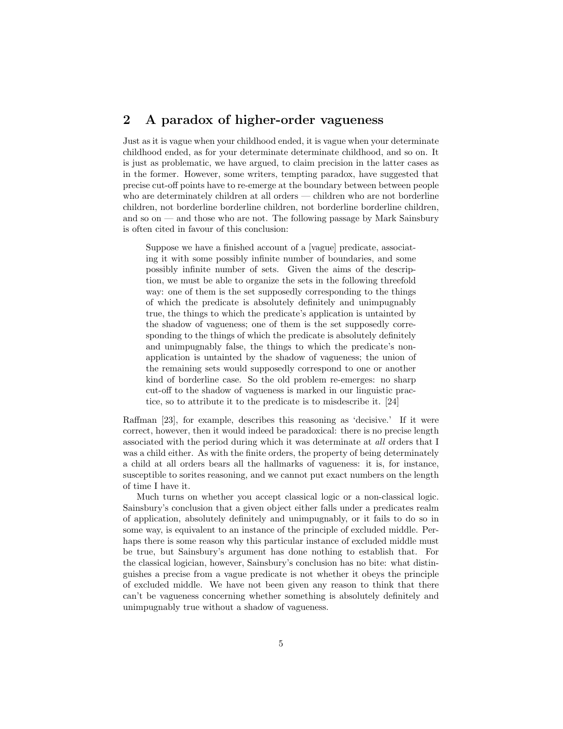# 2 A paradox of higher-order vagueness

Just as it is vague when your childhood ended, it is vague when your determinate childhood ended, as for your determinate determinate childhood, and so on. It is just as problematic, we have argued, to claim precision in the latter cases as in the former. However, some writers, tempting paradox, have suggested that precise cut-off points have to re-emerge at the boundary between between people who are determinately children at all orders — children who are not borderline children, not borderline borderline children, not borderline borderline children, and so on — and those who are not. The following passage by Mark Sainsbury is often cited in favour of this conclusion:

Suppose we have a finished account of a [vague] predicate, associating it with some possibly infinite number of boundaries, and some possibly infinite number of sets. Given the aims of the description, we must be able to organize the sets in the following threefold way: one of them is the set supposedly corresponding to the things of which the predicate is absolutely definitely and unimpugnably true, the things to which the predicate's application is untainted by the shadow of vagueness; one of them is the set supposedly corresponding to the things of which the predicate is absolutely definitely and unimpugnably false, the things to which the predicate's nonapplication is untainted by the shadow of vagueness; the union of the remaining sets would supposedly correspond to one or another kind of borderline case. So the old problem re-emerges: no sharp cut-off to the shadow of vagueness is marked in our linguistic practice, so to attribute it to the predicate is to misdescribe it. [24]

Raffman [23], for example, describes this reasoning as 'decisive.' If it were correct, however, then it would indeed be paradoxical: there is no precise length associated with the period during which it was determinate at all orders that I was a child either. As with the finite orders, the property of being determinately a child at all orders bears all the hallmarks of vagueness: it is, for instance, susceptible to sorites reasoning, and we cannot put exact numbers on the length of time I have it.

Much turns on whether you accept classical logic or a non-classical logic. Sainsbury's conclusion that a given object either falls under a predicates realm of application, absolutely definitely and unimpugnably, or it fails to do so in some way, is equivalent to an instance of the principle of excluded middle. Perhaps there is some reason why this particular instance of excluded middle must be true, but Sainsbury's argument has done nothing to establish that. For the classical logician, however, Sainsbury's conclusion has no bite: what distinguishes a precise from a vague predicate is not whether it obeys the principle of excluded middle. We have not been given any reason to think that there can't be vagueness concerning whether something is absolutely definitely and unimpugnably true without a shadow of vagueness.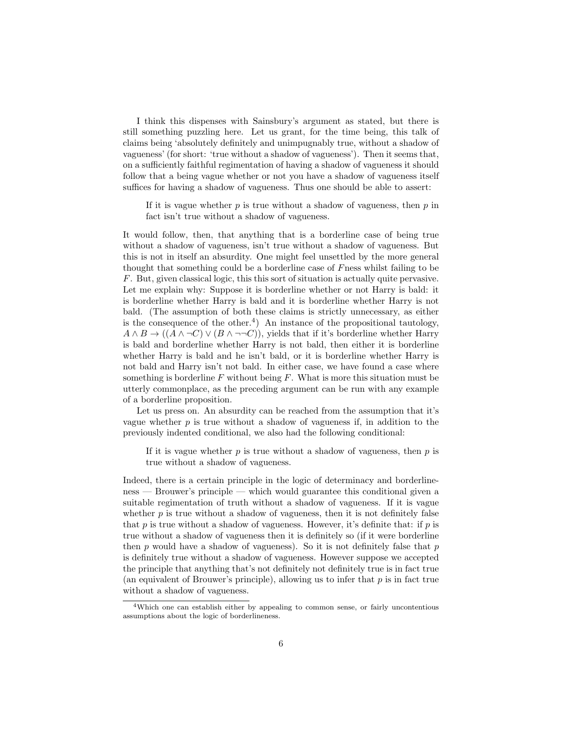I think this dispenses with Sainsbury's argument as stated, but there is still something puzzling here. Let us grant, for the time being, this talk of claims being 'absolutely definitely and unimpugnably true, without a shadow of vagueness' (for short: 'true without a shadow of vagueness'). Then it seems that, on a sufficiently faithful regimentation of having a shadow of vagueness it should follow that a being vague whether or not you have a shadow of vagueness itself suffices for having a shadow of vagueness. Thus one should be able to assert:

If it is vague whether  $p$  is true without a shadow of vagueness, then  $p$  in fact isn't true without a shadow of vagueness.

It would follow, then, that anything that is a borderline case of being true without a shadow of vagueness, isn't true without a shadow of vagueness. But this is not in itself an absurdity. One might feel unsettled by the more general thought that something could be a borderline case of Fness whilst failing to be F. But, given classical logic, this this sort of situation is actually quite pervasive. Let me explain why: Suppose it is borderline whether or not Harry is bald: it is borderline whether Harry is bald and it is borderline whether Harry is not bald. (The assumption of both these claims is strictly unnecessary, as either is the consequence of the other.<sup>4</sup>) An instance of the propositional tautology,  $A \wedge B \to ((A \wedge \neg C) \vee (B \wedge \neg \neg C))$ , yields that if it's borderline whether Harry is bald and borderline whether Harry is not bald, then either it is borderline whether Harry is bald and he isn't bald, or it is borderline whether Harry is not bald and Harry isn't not bald. In either case, we have found a case where something is borderline  $F$  without being  $F$ . What is more this situation must be utterly commonplace, as the preceding argument can be run with any example of a borderline proposition.

Let us press on. An absurdity can be reached from the assumption that it's vague whether  $p$  is true without a shadow of vagueness if, in addition to the previously indented conditional, we also had the following conditional:

If it is vague whether  $p$  is true without a shadow of vagueness, then  $p$  is true without a shadow of vagueness.

Indeed, there is a certain principle in the logic of determinacy and borderlineness — Brouwer's principle — which would guarantee this conditional given a suitable regimentation of truth without a shadow of vagueness. If it is vague whether  $p$  is true without a shadow of vagueness, then it is not definitely false that p is true without a shadow of vagueness. However, it's definite that: if  $p$  is true without a shadow of vagueness then it is definitely so (if it were borderline then p would have a shadow of vagueness). So it is not definitely false that p is definitely true without a shadow of vagueness. However suppose we accepted the principle that anything that's not definitely not definitely true is in fact true (an equivalent of Brouwer's principle), allowing us to infer that  $p$  is in fact true without a shadow of vagueness.

<sup>4</sup>Which one can establish either by appealing to common sense, or fairly uncontentious assumptions about the logic of borderlineness.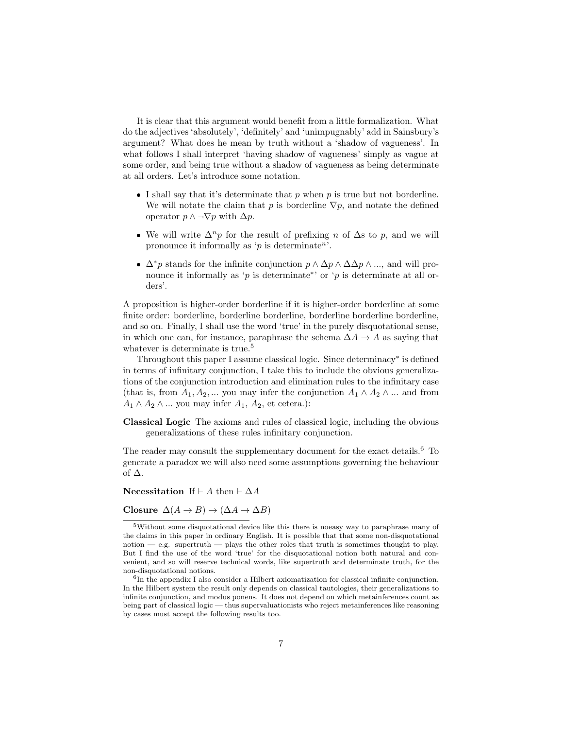It is clear that this argument would benefit from a little formalization. What do the adjectives 'absolutely', 'definitely' and 'unimpugnably' add in Sainsbury's argument? What does he mean by truth without a 'shadow of vagueness'. In what follows I shall interpret 'having shadow of vagueness' simply as vague at some order, and being true without a shadow of vagueness as being determinate at all orders. Let's introduce some notation.

- I shall say that it's determinate that  $p$  when  $p$  is true but not borderline. We will notate the claim that p is borderline  $\nabla p$ , and notate the defined operator  $p \wedge \neg \nabla p$  with  $\Delta p$ .
- $\bullet$  We will write  $\Delta^n p$  for the result of prefixing n of  $\Delta s$  to p, and we will pronounce it informally as 'p is determinate".
- $\blacktriangleright$   $\Delta^* p$  stands for the infinite conjunction  $p \wedge \Delta p \wedge \Delta p \wedge ...$ , and will pronounce it informally as 'p is determinate<sup>\*</sup>' or 'p is determinate at all orders'.

A proposition is higher-order borderline if it is higher-order borderline at some finite order: borderline, borderline borderline, borderline borderline borderline, and so on. Finally, I shall use the word 'true' in the purely disquotational sense, in which one can, for instance, paraphrase the schema  $\Delta A \rightarrow A$  as saying that whatever is determinate is true.<sup>5</sup>

Throughout this paper I assume classical logic. Since determinacy<sup>∗</sup> is defined in terms of infinitary conjunction, I take this to include the obvious generalizations of the conjunction introduction and elimination rules to the infinitary case (that is, from  $A_1, A_2, ...$  you may infer the conjunction  $A_1 \wedge A_2 \wedge ...$  and from  $A_1 \wedge A_2 \wedge ...$  you may infer  $A_1$ ,  $A_2$ , et cetera.):

Classical Logic The axioms and rules of classical logic, including the obvious generalizations of these rules infinitary conjunction.

The reader may consult the supplementary document for the exact details.  $6$  To generate a paradox we will also need some assumptions governing the behaviour of  $\Delta$ .

Necessitation If  $\vdash A$  then  $\vdash \Delta A$ 

Closure  $\Delta(A \to B) \to (\Delta A \to \Delta B)$ 

<sup>5</sup>Without some disquotational device like this there is noeasy way to paraphrase many of the claims in this paper in ordinary English. It is possible that that some non-disquotational notion — e.g. supertruth — plays the other roles that truth is sometimes thought to play. But I find the use of the word 'true' for the disquotational notion both natural and convenient, and so will reserve technical words, like supertruth and determinate truth, for the non-disquotational notions.

<sup>&</sup>lt;sup>6</sup>In the appendix I also consider a Hilbert axiomatization for classical infinite conjunction. In the Hilbert system the result only depends on classical tautologies, their generalizations to infinite conjunction, and modus ponens. It does not depend on which metainferences count as being part of classical logic — thus supervaluationists who reject metainferences like reasoning by cases must accept the following results too.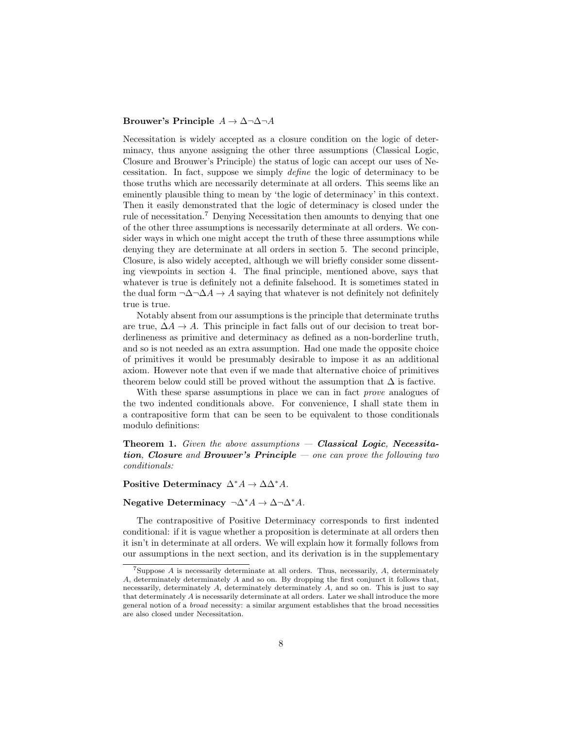#### Brouwer's Principle  $A \to \Delta \neg \Delta \neg A$

Necessitation is widely accepted as a closure condition on the logic of determinacy, thus anyone assigning the other three assumptions (Classical Logic, Closure and Brouwer's Principle) the status of logic can accept our uses of Necessitation. In fact, suppose we simply define the logic of determinacy to be those truths which are necessarily determinate at all orders. This seems like an eminently plausible thing to mean by 'the logic of determinacy' in this context. Then it easily demonstrated that the logic of determinacy is closed under the rule of necessitation.<sup>7</sup> Denying Necessitation then amounts to denying that one of the other three assumptions is necessarily determinate at all orders. We consider ways in which one might accept the truth of these three assumptions while denying they are determinate at all orders in section 5. The second principle, Closure, is also widely accepted, although we will briefly consider some dissenting viewpoints in section 4. The final principle, mentioned above, says that whatever is true is definitely not a definite falsehood. It is sometimes stated in the dual form  $\neg \Delta \neg \Delta A \rightarrow A$  saying that whatever is not definitely not definitely true is true.

Notably absent from our assumptions is the principle that determinate truths are true,  $\Delta A \rightarrow A$ . This principle in fact falls out of our decision to treat borderlineness as primitive and determinacy as defined as a non-borderline truth, and so is not needed as an extra assumption. Had one made the opposite choice of primitives it would be presumably desirable to impose it as an additional axiom. However note that even if we made that alternative choice of primitives theorem below could still be proved without the assumption that  $\Delta$  is factive.

With these sparse assumptions in place we can in fact *prove* analogues of the two indented conditionals above. For convenience, I shall state them in a contrapositive form that can be seen to be equivalent to those conditionals modulo definitions:

**Theorem 1.** Given the above assumptions  $-$  **Classical Logic, Necessita**tion, Closure and Brouwer's Principle — one can prove the following two conditionals:

Positive Determinacy  $\Delta^* A \to \Delta \Delta^* A$ .

Negative Determinacy  $\neg \Delta^* A \rightarrow \Delta \neg \Delta^* A$ .

The contrapositive of Positive Determinacy corresponds to first indented conditional: if it is vague whether a proposition is determinate at all orders then it isn't in determinate at all orders. We will explain how it formally follows from our assumptions in the next section, and its derivation is in the supplementary

 $7$ Suppose  $\hat{A}$  is necessarily determinate at all orders. Thus, necessarily,  $\hat{A}$ , determinately A, determinately determinately A and so on. By dropping the first conjunct it follows that, necessarily, determinately A, determinately determinately A, and so on. This is just to say that determinately A is necessarily determinate at all orders. Later we shall introduce the more general notion of a broad necessity: a similar argument establishes that the broad necessities are also closed under Necessitation.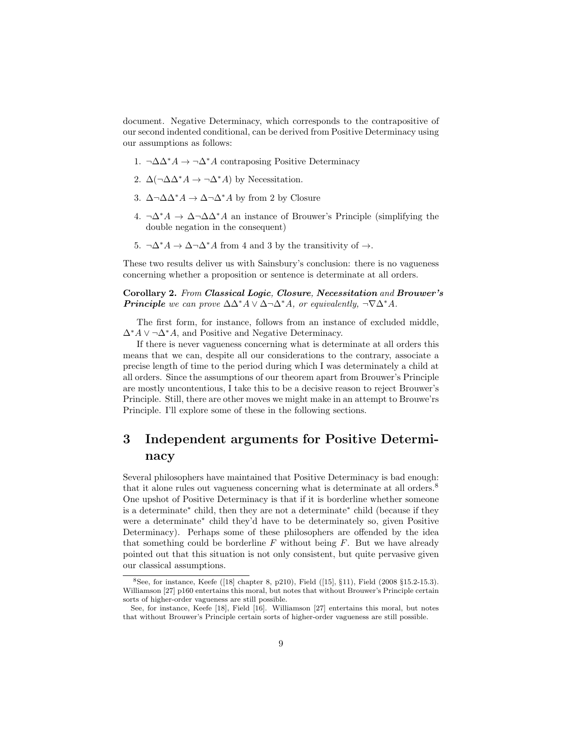document. Negative Determinacy, which corresponds to the contrapositive of our second indented conditional, can be derived from Positive Determinacy using our assumptions as follows:

- 1. ¬ $Δ^*A$  → ¬ $Δ^*A$  contraposing Positive Determinacy
- 2.  $\Delta(\neg \Delta \Delta^* A \rightarrow \neg \Delta^* A)$  by Necessitation.
- 3. ∆¬∆∆∗A → ∆¬∆∗A by from 2 by Closure
- 4. ¬ $\Delta^* A \to \Delta$ ¬ $\Delta \Delta^* A$  an instance of Brouwer's Principle (simplifying the double negation in the consequent)
- 5. ¬ $\Delta^* A \to \Delta \neg \Delta^* A$  from 4 and 3 by the transitivity of →.

These two results deliver us with Sainsbury's conclusion: there is no vagueness concerning whether a proposition or sentence is determinate at all orders.

Corollary 2. From Classical Logic, Closure, Necessitation and Brouwer's **Principle** we can prove  $\Delta \Delta^* A \vee \Delta \neg \Delta^* A$ , or equivalently,  $\neg \nabla \Delta^* A$ .

The first form, for instance, follows from an instance of excluded middle,  $\Delta^* A \vee \neg \Delta^* A$ , and Positive and Negative Determinacy.

If there is never vagueness concerning what is determinate at all orders this means that we can, despite all our considerations to the contrary, associate a precise length of time to the period during which I was determinately a child at all orders. Since the assumptions of our theorem apart from Brouwer's Principle are mostly uncontentious, I take this to be a decisive reason to reject Brouwer's Principle. Still, there are other moves we might make in an attempt to Brouwe'rs Principle. I'll explore some of these in the following sections.

# 3 Independent arguments for Positive Determinacy

Several philosophers have maintained that Positive Determinacy is bad enough: that it alone rules out vagueness concerning what is determinate at all orders.<sup>8</sup> One upshot of Positive Determinacy is that if it is borderline whether someone is a determinate<sup>∗</sup> child, then they are not a determinate<sup>∗</sup> child (because if they were a determinate<sup>\*</sup> child they'd have to be determinately so, given Positive Determinacy). Perhaps some of these philosophers are offended by the idea that something could be borderline  $F$  without being  $F$ . But we have already pointed out that this situation is not only consistent, but quite pervasive given our classical assumptions.

<sup>8</sup>See, for instance, Keefe ([18] chapter 8, p210), Field ([15], §11), Field (2008 §15.2-15.3). Williamson [27] p160 entertains this moral, but notes that without Brouwer's Principle certain sorts of higher-order vagueness are still possible.

See, for instance, Keefe [18], Field [16]. Williamson [27] entertains this moral, but notes that without Brouwer's Principle certain sorts of higher-order vagueness are still possible.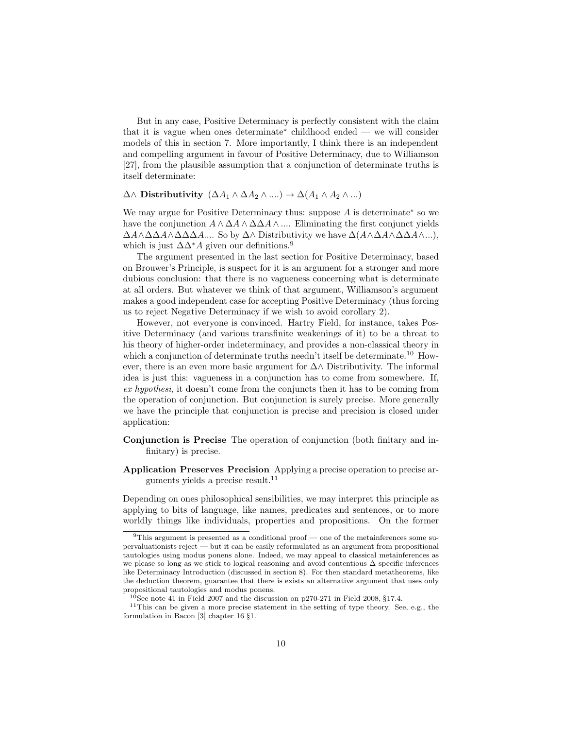But in any case, Positive Determinacy is perfectly consistent with the claim that it is vague when ones determinate<sup>∗</sup> childhood ended — we will consider models of this in section 7. More importantly, I think there is an independent and compelling argument in favour of Positive Determinacy, due to Williamson [27], from the plausible assumption that a conjunction of determinate truths is itself determinate:

## $\Delta \wedge$  Distributivity  $(∆A_1 ∧ ∆A_2 ∧ ... ) → ∆(A_1 ∧ A_2 ∧ ... )$

We may argue for Positive Determinacy thus: suppose  $A$  is determinate\* so we have the conjunction  $A \wedge \Delta A \wedge \Delta \Delta A \wedge \dots$  Eliminating the first conjunct yields  $\Delta A \wedge \Delta \Delta A \wedge \Delta \Delta A$ .... So by  $\Delta \wedge$  Distributivity we have  $\Delta(A \wedge \Delta A \wedge \Delta \Delta A \wedge ...)$ . which is just  $\Delta\Delta^* A$  given our definitions.<sup>9</sup>

The argument presented in the last section for Positive Determinacy, based on Brouwer's Principle, is suspect for it is an argument for a stronger and more dubious conclusion: that there is no vagueness concerning what is determinate at all orders. But whatever we think of that argument, Williamson's argument makes a good independent case for accepting Positive Determinacy (thus forcing us to reject Negative Determinacy if we wish to avoid corollary 2).

However, not everyone is convinced. Hartry Field, for instance, takes Positive Determinacy (and various transfinite weakenings of it) to be a threat to his theory of higher-order indeterminacy, and provides a non-classical theory in which a conjunction of determinate truths needn't itself be determinate.<sup>10</sup> However, there is an even more basic argument for ∆∧ Distributivity. The informal idea is just this: vagueness in a conjunction has to come from somewhere. If, ex hypothesi, it doesn't come from the conjuncts then it has to be coming from the operation of conjunction. But conjunction is surely precise. More generally we have the principle that conjunction is precise and precision is closed under application:

- Conjunction is Precise The operation of conjunction (both finitary and infinitary) is precise.
- Application Preserves Precision Applying a precise operation to precise arguments yields a precise result.<sup>11</sup>

Depending on ones philosophical sensibilities, we may interpret this principle as applying to bits of language, like names, predicates and sentences, or to more worldly things like individuals, properties and propositions. On the former

<sup>&</sup>lt;sup>9</sup>This argument is presented as a conditional proof — one of the metainferences some supervaluationists reject — but it can be easily reformulated as an argument from propositional tautologies using modus ponens alone. Indeed, we may appeal to classical metainferences as we please so long as we stick to logical reasoning and avoid contentious  $\Delta$  specific inferences like Determinacy Introduction (discussed in section 8). For then standard metatheorems, like the deduction theorem, guarantee that there is exists an alternative argument that uses only propositional tautologies and modus ponens.

 $10$ See note 41 in Field 2007 and the discussion on p270-271 in Field 2008, §17.4.

<sup>&</sup>lt;sup>11</sup>This can be given a more precise statement in the setting of type theory. See, e.g., the formulation in Bacon [3] chapter 16 §1.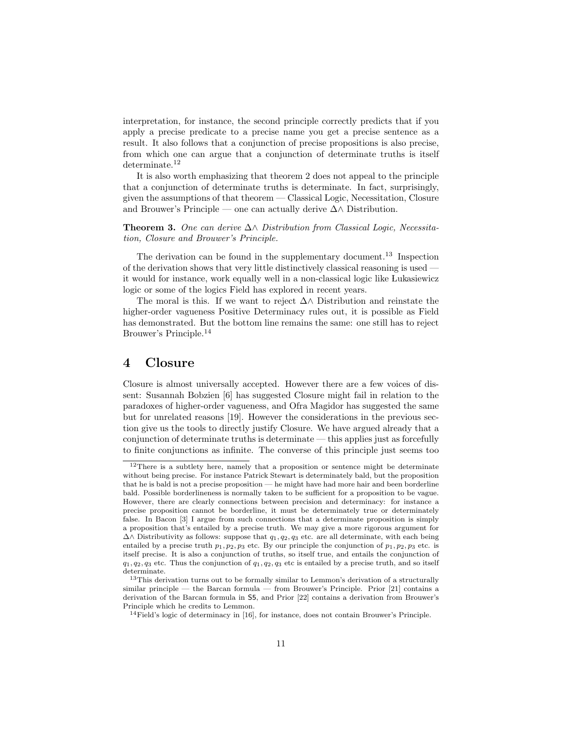interpretation, for instance, the second principle correctly predicts that if you apply a precise predicate to a precise name you get a precise sentence as a result. It also follows that a conjunction of precise propositions is also precise, from which one can argue that a conjunction of determinate truths is itself determinate.<sup>12</sup>

It is also worth emphasizing that theorem 2 does not appeal to the principle that a conjunction of determinate truths is determinate. In fact, surprisingly, given the assumptions of that theorem — Classical Logic, Necessitation, Closure and Brouwer's Principle — one can actually derive  $\Delta \wedge$  Distribution.

**Theorem 3.** One can derive  $\Delta \wedge$  Distribution from Classical Logic, Necessitation, Closure and Brouwer's Principle.

The derivation can be found in the supplementary document.<sup>13</sup> Inspection of the derivation shows that very little distinctively classical reasoning is used it would for instance, work equally well in a non-classical logic like Lukasiewicz logic or some of the logics Field has explored in recent years.

The moral is this. If we want to reject  $\Delta \wedge$  Distribution and reinstate the higher-order vagueness Positive Determinacy rules out, it is possible as Field has demonstrated. But the bottom line remains the same: one still has to reject Brouwer's Principle.<sup>14</sup>

## 4 Closure

Closure is almost universally accepted. However there are a few voices of dissent: Susannah Bobzien [6] has suggested Closure might fail in relation to the paradoxes of higher-order vagueness, and Ofra Magidor has suggested the same but for unrelated reasons [19]. However the considerations in the previous section give us the tools to directly justify Closure. We have argued already that a conjunction of determinate truths is determinate — this applies just as forcefully to finite conjunctions as infinite. The converse of this principle just seems too

 $12$ There is a subtlety here, namely that a proposition or sentence might be determinate without being precise. For instance Patrick Stewart is determinately bald, but the proposition that he is bald is not a precise proposition — he might have had more hair and been borderline bald. Possible borderlineness is normally taken to be sufficient for a proposition to be vague. However, there are clearly connections between precision and determinacy: for instance a precise proposition cannot be borderline, it must be determinately true or determinately false. In Bacon [3] I argue from such connections that a determinate proposition is simply a proposition that's entailed by a precise truth. We may give a more rigorous argument for  $\Delta \wedge$  Distributivity as follows: suppose that  $q_1, q_2, q_3$  etc. are all determinate, with each being entailed by a precise truth  $p_1, p_2, p_3$  etc. By our principle the conjunction of  $p_1, p_2, p_3$  etc. is itself precise. It is also a conjunction of truths, so itself true, and entails the conjunction of  $q_1, q_2, q_3$  etc. Thus the conjunction of  $q_1, q_2, q_3$  etc is entailed by a precise truth, and so itself determinate.

<sup>13</sup>This derivation turns out to be formally similar to Lemmon's derivation of a structurally similar principle — the Barcan formula — from Brouwer's Principle. Prior [21] contains a derivation of the Barcan formula in S5, and Prior [22] contains a derivation from Brouwer's Principle which he credits to Lemmon.

<sup>14</sup>Field's logic of determinacy in [16], for instance, does not contain Brouwer's Principle.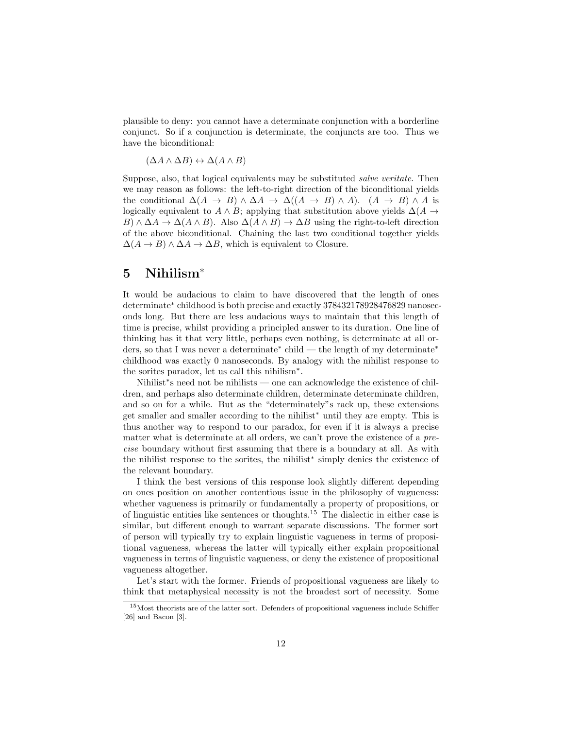plausible to deny: you cannot have a determinate conjunction with a borderline conjunct. So if a conjunction is determinate, the conjuncts are too. Thus we have the biconditional:

$$
(\Delta A \wedge \Delta B) \leftrightarrow \Delta(A \wedge B)
$$

Suppose, also, that logical equivalents may be substituted *salve veritate*. Then we may reason as follows: the left-to-right direction of the biconditional yields the conditional  $\Delta(A \to B) \wedge \Delta A \to \Delta((A \to B) \wedge A)$ .  $(A \to B) \wedge A$  is logically equivalent to  $A \wedge B$ ; applying that substitution above yields  $\Delta(A \rightarrow$ B)  $\wedge \Delta A \to \Delta(A \wedge B)$ . Also  $\Delta(A \wedge B) \to \Delta B$  using the right-to-left direction of the above biconditional. Chaining the last two conditional together yields  $\Delta(A \to B) \wedge \Delta A \to \Delta B$ , which is equivalent to Closure.

# 5 Nihilism<sup>∗</sup>

It would be audacious to claim to have discovered that the length of ones determinate<sup>∗</sup> childhood is both precise and exactly 378432178928476829 nanoseconds long. But there are less audacious ways to maintain that this length of time is precise, whilst providing a principled answer to its duration. One line of thinking has it that very little, perhaps even nothing, is determinate at all orders, so that I was never a determinate<sup>\*</sup> child — the length of my determinate<sup>\*</sup> childhood was exactly 0 nanoseconds. By analogy with the nihilist response to the sorites paradox, let us call this nihilism<sup>∗</sup> .

Nihilist<sup>∗</sup> s need not be nihilists — one can acknowledge the existence of children, and perhaps also determinate children, determinate determinate children, and so on for a while. But as the "determinately"s rack up, these extensions get smaller and smaller according to the nihilist<sup>∗</sup> until they are empty. This is thus another way to respond to our paradox, for even if it is always a precise matter what is determinate at all orders, we can't prove the existence of a precise boundary without first assuming that there is a boundary at all. As with the nihilist response to the sorites, the nihilist<sup>∗</sup> simply denies the existence of the relevant boundary.

I think the best versions of this response look slightly different depending on ones position on another contentious issue in the philosophy of vagueness: whether vagueness is primarily or fundamentally a property of propositions, or of linguistic entities like sentences or thoughts.<sup>15</sup> The dialectic in either case is similar, but different enough to warrant separate discussions. The former sort of person will typically try to explain linguistic vagueness in terms of propositional vagueness, whereas the latter will typically either explain propositional vagueness in terms of linguistic vagueness, or deny the existence of propositional vagueness altogether.

Let's start with the former. Friends of propositional vagueness are likely to think that metaphysical necessity is not the broadest sort of necessity. Some

<sup>&</sup>lt;sup>15</sup>Most theorists are of the latter sort. Defenders of propositional vagueness include Schiffer [26] and Bacon [3].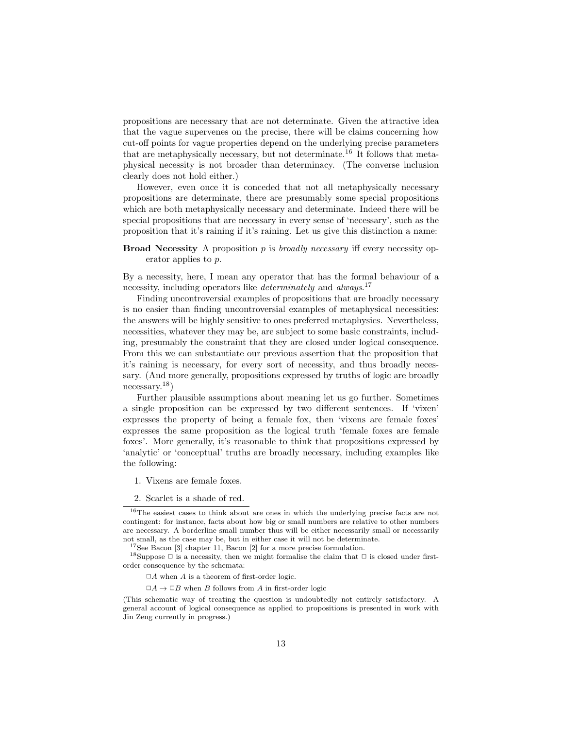propositions are necessary that are not determinate. Given the attractive idea that the vague supervenes on the precise, there will be claims concerning how cut-off points for vague properties depend on the underlying precise parameters that are metaphysically necessary, but not determinate.<sup>16</sup> It follows that metaphysical necessity is not broader than determinacy. (The converse inclusion clearly does not hold either.)

However, even once it is conceded that not all metaphysically necessary propositions are determinate, there are presumably some special propositions which are both metaphysically necessary and determinate. Indeed there will be special propositions that are necessary in every sense of 'necessary', such as the proposition that it's raining if it's raining. Let us give this distinction a name:

**Broad Necessity** A proposition  $p$  is *broadly necessary* iff every necessity operator applies to p.

By a necessity, here, I mean any operator that has the formal behaviour of a necessity, including operators like *determinately* and *always*.<sup>17</sup>

Finding uncontroversial examples of propositions that are broadly necessary is no easier than finding uncontroversial examples of metaphysical necessities: the answers will be highly sensitive to ones preferred metaphysics. Nevertheless, necessities, whatever they may be, are subject to some basic constraints, including, presumably the constraint that they are closed under logical consequence. From this we can substantiate our previous assertion that the proposition that it's raining is necessary, for every sort of necessity, and thus broadly necessary. (And more generally, propositions expressed by truths of logic are broadly necessary.18)

Further plausible assumptions about meaning let us go further. Sometimes a single proposition can be expressed by two different sentences. If 'vixen' expresses the property of being a female fox, then 'vixens are female foxes' expresses the same proposition as the logical truth 'female foxes are female foxes'. More generally, it's reasonable to think that propositions expressed by 'analytic' or 'conceptual' truths are broadly necessary, including examples like the following:

1. Vixens are female foxes.

2. Scarlet is a shade of red.

<sup>&</sup>lt;sup>16</sup>The easiest cases to think about are ones in which the underlying precise facts are not contingent: for instance, facts about how big or small numbers are relative to other numbers are necessary. A borderline small number thus will be either necessarily small or necessarily not small, as the case may be, but in either case it will not be determinate.

<sup>17</sup>See Bacon [3] chapter 11, Bacon [2] for a more precise formulation.

<sup>&</sup>lt;sup>18</sup>Suppose  $\Box$  is a necessity, then we might formalise the claim that  $\Box$  is closed under firstorder consequence by the schemata:

 $\Box A$  when A is a theorem of first-order logic.

 $\Box A \rightarrow \Box B$  when B follows from A in first-order logic

<sup>(</sup>This schematic way of treating the question is undoubtedly not entirely satisfactory. A general account of logical consequence as applied to propositions is presented in work with Jin Zeng currently in progress.)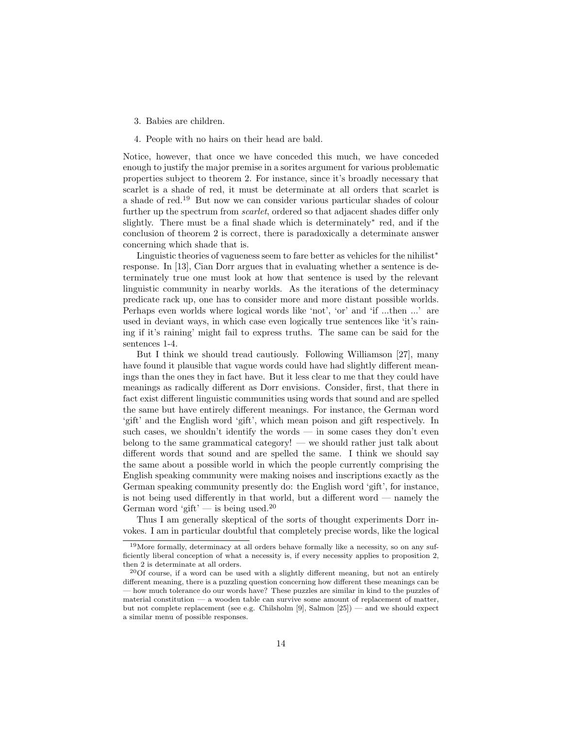3. Babies are children.

#### 4. People with no hairs on their head are bald.

Notice, however, that once we have conceded this much, we have conceded enough to justify the major premise in a sorites argument for various problematic properties subject to theorem 2. For instance, since it's broadly necessary that scarlet is a shade of red, it must be determinate at all orders that scarlet is a shade of red.<sup>19</sup> But now we can consider various particular shades of colour further up the spectrum from *scarlet*, ordered so that adjacent shades differ only slightly. There must be a final shade which is determinately<sup>∗</sup> red, and if the conclusion of theorem 2 is correct, there is paradoxically a determinate answer concerning which shade that is.

Linguistic theories of vagueness seem to fare better as vehicles for the nihilist<sup>\*</sup> response. In [13], Cian Dorr argues that in evaluating whether a sentence is determinately true one must look at how that sentence is used by the relevant linguistic community in nearby worlds. As the iterations of the determinacy predicate rack up, one has to consider more and more distant possible worlds. Perhaps even worlds where logical words like 'not', 'or' and 'if ...then ...' are used in deviant ways, in which case even logically true sentences like 'it's raining if it's raining' might fail to express truths. The same can be said for the sentences 1-4.

But I think we should tread cautiously. Following Williamson [27], many have found it plausible that vague words could have had slightly different meanings than the ones they in fact have. But it less clear to me that they could have meanings as radically different as Dorr envisions. Consider, first, that there in fact exist different linguistic communities using words that sound and are spelled the same but have entirely different meanings. For instance, the German word 'gift' and the English word 'gift', which mean poison and gift respectively. In such cases, we shouldn't identify the words — in some cases they don't even belong to the same grammatical category! — we should rather just talk about different words that sound and are spelled the same. I think we should say the same about a possible world in which the people currently comprising the English speaking community were making noises and inscriptions exactly as the German speaking community presently do: the English word 'gift', for instance, is not being used differently in that world, but a different word — namely the German word 'gift' — is being used.<sup>20</sup>

Thus I am generally skeptical of the sorts of thought experiments Dorr invokes. I am in particular doubtful that completely precise words, like the logical

<sup>&</sup>lt;sup>19</sup>More formally, determinacy at all orders behave formally like a necessity, so on any sufficiently liberal conception of what a necessity is, if every necessity applies to proposition 2, then 2 is determinate at all orders.

<sup>20</sup>Of course, if a word can be used with a slightly different meaning, but not an entirely different meaning, there is a puzzling question concerning how different these meanings can be — how much tolerance do our words have? These puzzles are similar in kind to the puzzles of material constitution — a wooden table can survive some amount of replacement of matter, but not complete replacement (see e.g. Chilsholm [9], Salmon [25]) — and we should expect a similar menu of possible responses.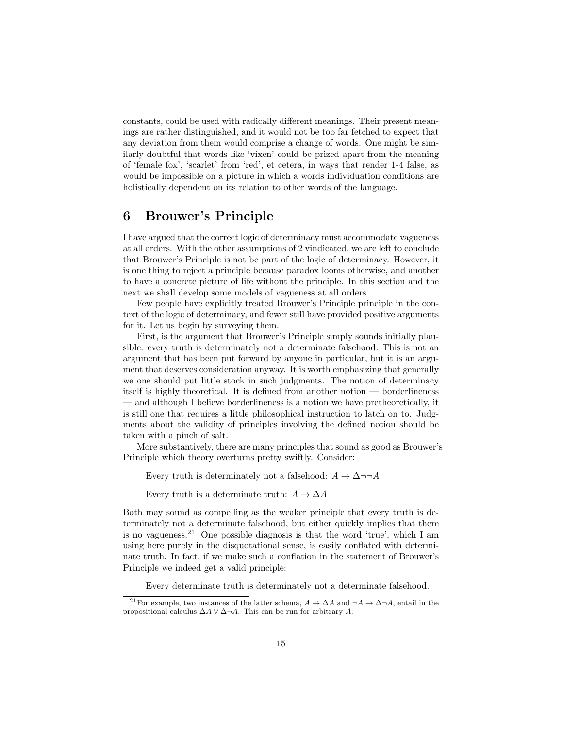constants, could be used with radically different meanings. Their present meanings are rather distinguished, and it would not be too far fetched to expect that any deviation from them would comprise a change of words. One might be similarly doubtful that words like 'vixen' could be prized apart from the meaning of 'female fox', 'scarlet' from 'red', et cetera, in ways that render 1-4 false, as would be impossible on a picture in which a words individuation conditions are holistically dependent on its relation to other words of the language.

# 6 Brouwer's Principle

I have argued that the correct logic of determinacy must accommodate vagueness at all orders. With the other assumptions of 2 vindicated, we are left to conclude that Brouwer's Principle is not be part of the logic of determinacy. However, it is one thing to reject a principle because paradox looms otherwise, and another to have a concrete picture of life without the principle. In this section and the next we shall develop some models of vagueness at all orders.

Few people have explicitly treated Brouwer's Principle principle in the context of the logic of determinacy, and fewer still have provided positive arguments for it. Let us begin by surveying them.

First, is the argument that Brouwer's Principle simply sounds initially plausible: every truth is determinately not a determinate falsehood. This is not an argument that has been put forward by anyone in particular, but it is an argument that deserves consideration anyway. It is worth emphasizing that generally we one should put little stock in such judgments. The notion of determinacy itself is highly theoretical. It is defined from another notion — borderlineness — and although I believe borderlineness is a notion we have pretheoretically, it is still one that requires a little philosophical instruction to latch on to. Judgments about the validity of principles involving the defined notion should be taken with a pinch of salt.

More substantively, there are many principles that sound as good as Brouwer's Principle which theory overturns pretty swiftly. Consider:

Every truth is determinately not a falsehood:  $A \to \Delta \neg \neg A$ 

Every truth is a determinate truth:  $A \rightarrow \Delta A$ 

Both may sound as compelling as the weaker principle that every truth is determinately not a determinate falsehood, but either quickly implies that there is no vagueness.<sup>21</sup> One possible diagnosis is that the word 'true', which I am using here purely in the disquotational sense, is easily conflated with determinate truth. In fact, if we make such a conflation in the statement of Brouwer's Principle we indeed get a valid principle:

Every determinate truth is determinately not a determinate falsehood.

<sup>&</sup>lt;sup>21</sup>For example, two instances of the latter schema,  $A \to \Delta A$  and  $\neg A \to \Delta \neg A$ , entail in the propositional calculus  $\Delta A \vee \Delta \neg A$ . This can be run for arbitrary A.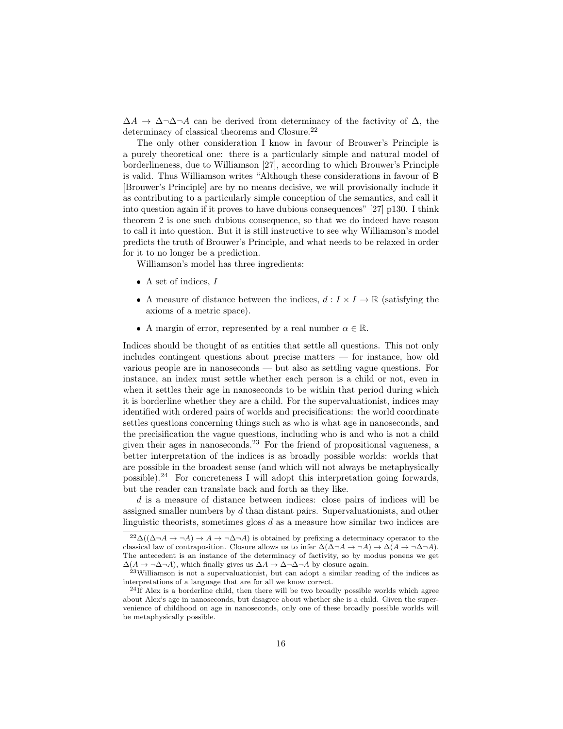$\Delta A \rightarrow \Delta \neg \Delta \neg A$  can be derived from determinacy of the factivity of  $\Delta$ , the determinacy of classical theorems and Closure.<sup>22</sup>

The only other consideration I know in favour of Brouwer's Principle is a purely theoretical one: there is a particularly simple and natural model of borderlineness, due to Williamson [27], according to which Brouwer's Principle is valid. Thus Williamson writes "Although these considerations in favour of B [Brouwer's Principle] are by no means decisive, we will provisionally include it as contributing to a particularly simple conception of the semantics, and call it into question again if it proves to have dubious consequences" [27] p130. I think theorem 2 is one such dubious consequence, so that we do indeed have reason to call it into question. But it is still instructive to see why Williamson's model predicts the truth of Brouwer's Principle, and what needs to be relaxed in order for it to no longer be a prediction.

Williamson's model has three ingredients:

- $\bullet$  A set of indices,  $I$
- A measure of distance between the indices,  $d: I \times I \to \mathbb{R}$  (satisfying the axioms of a metric space).
- A margin of error, represented by a real number  $\alpha \in \mathbb{R}$ .

Indices should be thought of as entities that settle all questions. This not only includes contingent questions about precise matters — for instance, how old various people are in nanoseconds — but also as settling vague questions. For instance, an index must settle whether each person is a child or not, even in when it settles their age in nanoseconds to be within that period during which it is borderline whether they are a child. For the supervaluationist, indices may identified with ordered pairs of worlds and precisifications: the world coordinate settles questions concerning things such as who is what age in nanoseconds, and the precisification the vague questions, including who is and who is not a child given their ages in nanoseconds.<sup>23</sup> For the friend of propositional vagueness, a better interpretation of the indices is as broadly possible worlds: worlds that are possible in the broadest sense (and which will not always be metaphysically possible).<sup>24</sup> For concreteness I will adopt this interpretation going forwards, but the reader can translate back and forth as they like.

d is a measure of distance between indices: close pairs of indices will be assigned smaller numbers by d than distant pairs. Supervaluationists, and other linguistic theorists, sometimes gloss  $d$  as a measure how similar two indices are

 $^{22}\Delta((\Delta \neg A \rightarrow \neg A) \rightarrow A \rightarrow \neg \Delta \neg A)$  is obtained by prefixing a determinacy operator to the classical law of contraposition. Closure allows us to infer  $\Delta(\Delta \neg A \rightarrow \neg A) \rightarrow \Delta(A \rightarrow \neg \Delta \neg A)$ . The antecedent is an instance of the determinacy of factivity, so by modus ponens we get  $\Delta(A \to \neg \Delta \neg A)$ , which finally gives us  $\Delta A \to \Delta \neg \Delta \neg A$  by closure again.

 $23$ Williamson is not a supervaluationist, but can adopt a similar reading of the indices as interpretations of a language that are for all we know correct.

 $^{24}$ If Alex is a borderline child, then there will be two broadly possible worlds which agree about Alex's age in nanoseconds, but disagree about whether she is a child. Given the supervenience of childhood on age in nanoseconds, only one of these broadly possible worlds will be metaphysically possible.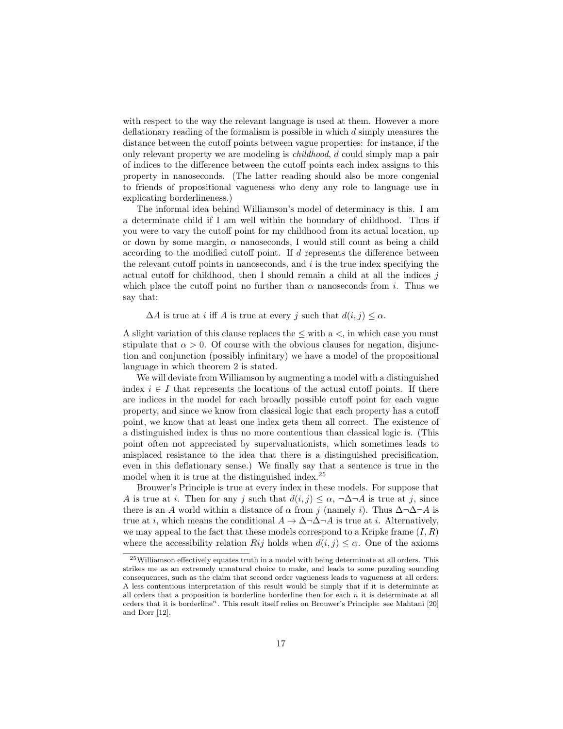with respect to the way the relevant language is used at them. However a more deflationary reading of the formalism is possible in which d simply measures the distance between the cutoff points between vague properties: for instance, if the only relevant property we are modeling is childhood, d could simply map a pair of indices to the difference between the cutoff points each index assigns to this property in nanoseconds. (The latter reading should also be more congenial to friends of propositional vagueness who deny any role to language use in explicating borderlineness.)

The informal idea behind Williamson's model of determinacy is this. I am a determinate child if I am well within the boundary of childhood. Thus if you were to vary the cutoff point for my childhood from its actual location, up or down by some margin,  $\alpha$  nanoseconds, I would still count as being a child according to the modified cutoff point. If  $d$  represents the difference between the relevant cutoff points in nanoseconds, and  $i$  is the true index specifying the actual cutoff for childhood, then I should remain a child at all the indices  $j$ which place the cutoff point no further than  $\alpha$  nanoseconds from i. Thus we say that:

 $\Delta A$  is true at i iff A is true at every j such that  $d(i, j) \leq \alpha$ .

A slight variation of this clause replaces the  $\leq$  with a  $\lt$ , in which case you must stipulate that  $\alpha > 0$ . Of course with the obvious clauses for negation, disjunction and conjunction (possibly infinitary) we have a model of the propositional language in which theorem 2 is stated.

We will deviate from Williamson by augmenting a model with a distinguished index  $i \in I$  that represents the locations of the actual cutoff points. If there are indices in the model for each broadly possible cutoff point for each vague property, and since we know from classical logic that each property has a cutoff point, we know that at least one index gets them all correct. The existence of a distinguished index is thus no more contentious than classical logic is. (This point often not appreciated by supervaluationists, which sometimes leads to misplaced resistance to the idea that there is a distinguished precisification, even in this deflationary sense.) We finally say that a sentence is true in the model when it is true at the distinguished index.<sup>25</sup>

Brouwer's Principle is true at every index in these models. For suppose that A is true at i. Then for any j such that  $d(i, j) \leq \alpha$ ,  $\neg \Delta \neg A$  is true at j, since there is an A world within a distance of  $\alpha$  from j (namely i). Thus  $\Delta \neg \Delta \neg A$  is true at *i*, which means the conditional  $A \to \Delta \neg \Delta \neg A$  is true at *i*. Alternatively, we may appeal to the fact that these models correspond to a Kripke frame  $(I, R)$ where the accessibility relation Rij holds when  $d(i, j) \leq \alpha$ . One of the axioms

<sup>25</sup>Williamson effectively equates truth in a model with being determinate at all orders. This strikes me as an extremely unnatural choice to make, and leads to some puzzling sounding consequences, such as the claim that second order vagueness leads to vagueness at all orders. A less contentious interpretation of this result would be simply that if it is determinate at all orders that a proposition is borderline borderline then for each  $n$  it is determinate at all orders that it is borderline<sup>n</sup>. This result itself relies on Brouwer's Principle: see Mahtani [20] and Dorr [12].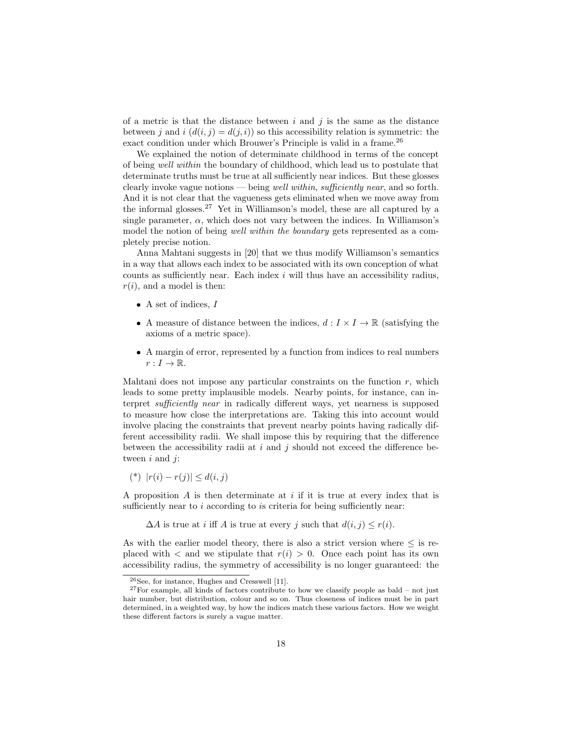of a metric is that the distance between  $i$  and  $j$  is the same as the distance between j and  $i(d(i, j) = d(j, i))$  so this accessibility relation is symmetric: the exact condition under which Brouwer's Principle is valid in a frame.<sup>26</sup>

We explained the notion of determinate childhood in terms of the concept of being well within the boundary of childhood, which lead us to postulate that determinate truths must be true at all sufficiently near indices. But these glosses clearly invoke vague notions — being well within, sufficiently near, and so forth. And it is not clear that the vagueness gets eliminated when we move away from the informal glosses.<sup>27</sup> Yet in Williamson's model, these are all captured by a single parameter,  $\alpha$ , which does not vary between the indices. In Williamson's model the notion of being *well within the boundary* gets represented as a completely precise notion.

Anna Mahtani suggests in [20] that we thus modify Williamson's semantics in a way that allows each index to be associated with its own conception of what counts as sufficiently near. Each index  $i$  will thus have an accessibility radius,  $r(i)$ , and a model is then:

- $\bullet$  A set of indices,  $I$
- A measure of distance between the indices,  $d: I \times I \to \mathbb{R}$  (satisfying the axioms of a metric space).
- A margin of error, represented by a function from indices to real numbers  $r: I \to \mathbb{R}$ .

Mahtani does not impose any particular constraints on the function  $r$ , which leads to some pretty implausible models. Nearby points, for instance, can interpret sufficiently near in radically different ways, yet nearness is supposed to measure how close the interpretations are. Taking this into account would involve placing the constraints that prevent nearby points having radically different accessibility radii. We shall impose this by requiring that the difference between the accessibility radii at  $i$  and  $j$  should not exceed the difference between i and j:

(\*)  $|r(i) - r(j)| \leq d(i, j)$ 

A proposition  $A$  is then determinate at  $i$  if it is true at every index that is sufficiently near to  $i$  according to  $i$ s criteria for being sufficiently near:

 $\Delta A$  is true at *i* iff A is true at every j such that  $d(i, j) \leq r(i)$ .

As with the earlier model theory, there is also a strict version where  $\leq$  is replaced with  $\langle$  and we stipulate that  $r(i) > 0$ . Once each point has its own accessibility radius, the symmetry of accessibility is no longer guaranteed: the

<sup>26</sup>See, for instance, Hughes and Cresswell [11].

 $27$  For example, all kinds of factors contribute to how we classify people as bald – not just hair number, but distribution, colour and so on. Thus closeness of indices must be in part determined, in a weighted way, by how the indices match these various factors. How we weight these different factors is surely a vague matter.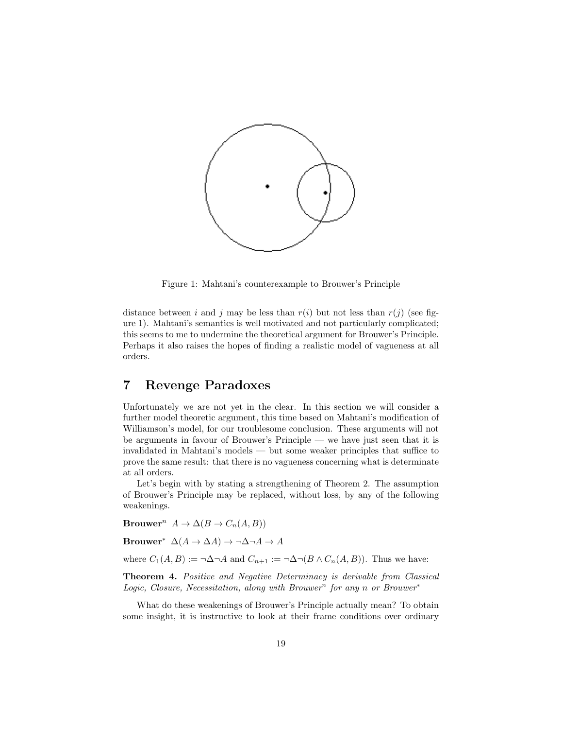

Figure 1: Mahtani's counterexample to Brouwer's Principle

distance between i and j may be less than  $r(i)$  but not less than  $r(j)$  (see figure 1). Mahtani's semantics is well motivated and not particularly complicated; this seems to me to undermine the theoretical argument for Brouwer's Principle. Perhaps it also raises the hopes of finding a realistic model of vagueness at all orders.

# 7 Revenge Paradoxes

Unfortunately we are not yet in the clear. In this section we will consider a further model theoretic argument, this time based on Mahtani's modification of Williamson's model, for our troublesome conclusion. These arguments will not be arguments in favour of Brouwer's Principle — we have just seen that it is invalidated in Mahtani's models — but some weaker principles that suffice to prove the same result: that there is no vagueness concerning what is determinate at all orders.

Let's begin with by stating a strengthening of Theorem 2. The assumption of Brouwer's Principle may be replaced, without loss, by any of the following weakenings.

Brouwer<sup>n</sup>  $A \to \Delta(B \to C_n(A, B))$ 

Brouwer<sup>∗</sup>  $\Delta(A \to \Delta A) \to \neg \Delta \neg A \to A$ 

where  $C_1(A, B) := \neg \Delta \neg A$  and  $C_{n+1} := \neg \Delta \neg (B \wedge C_n(A, B))$ . Thus we have:

Theorem 4. Positive and Negative Determinacy is derivable from Classical Logic, Closure, Necessitation, along with Brouwer<sup>n</sup> for any n or Brouwer<sup>\*</sup>

What do these weakenings of Brouwer's Principle actually mean? To obtain some insight, it is instructive to look at their frame conditions over ordinary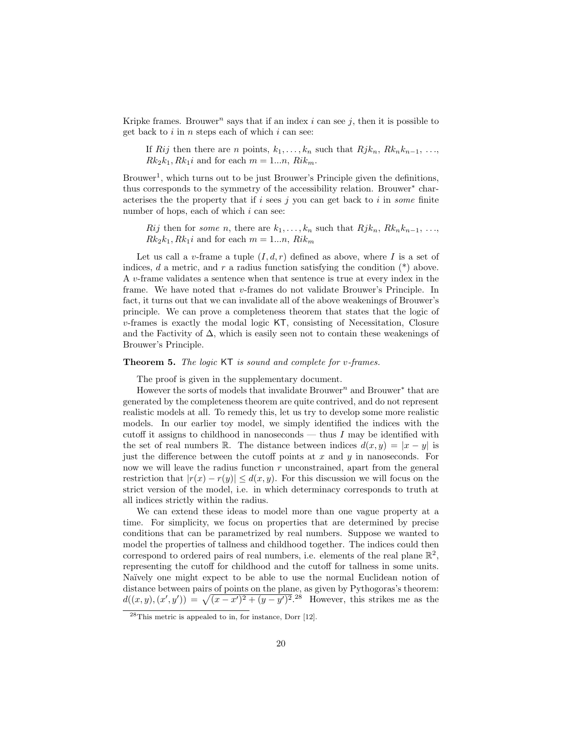Kripke frames. Brouwer<sup>n</sup> says that if an index i can see j, then it is possible to get back to  $i$  in  $n$  steps each of which  $i$  can see:

If Rij then there are n points,  $k_1, \ldots, k_n$  such that  $Rjk_n, Rk_nk_{n-1}, \ldots$ ,  $Rk_2k_1, Rk_1i$  and for each  $m = 1...n$ ,  $Rik_m$ .

Brouwer<sup>1</sup>, which turns out to be just Brouwer's Principle given the definitions, thus corresponds to the symmetry of the accessibility relation. Brouwer<sup>\*</sup> characterises the the property that if  $i$  sees  $j$  you can get back to  $i$  in some finite number of hops, each of which i can see:

Rij then for some n, there are  $k_1, \ldots, k_n$  such that  $Rjk_n, Rk_n k_{n-1}, \ldots$ ,  $Rk_2k_1, Rk_1i$  and for each  $m = 1...n$ ,  $Rik_m$ 

Let us call a v-frame a tuple  $(I, d, r)$  defined as above, where I is a set of indices, d a metric, and r a radius function satisfying the condition  $(*)$  above. A v-frame validates a sentence when that sentence is true at every index in the frame. We have noted that v-frames do not validate Brouwer's Principle. In fact, it turns out that we can invalidate all of the above weakenings of Brouwer's principle. We can prove a completeness theorem that states that the logic of v-frames is exactly the modal logic KT, consisting of Necessitation, Closure and the Factivity of  $\Delta$ , which is easily seen not to contain these weakenings of Brouwer's Principle.

#### Theorem 5. The logic KT is sound and complete for v-frames.

The proof is given in the supplementary document.

However the sorts of models that invalidate Brouwer<sup>n</sup> and Brouwer<sup>\*</sup> that are generated by the completeness theorem are quite contrived, and do not represent realistic models at all. To remedy this, let us try to develop some more realistic models. In our earlier toy model, we simply identified the indices with the cutoff it assigns to childhood in nanoseconds — thus  $I$  may be identified with the set of real numbers R. The distance between indices  $d(x, y) = |x - y|$  is just the difference between the cutoff points at  $x$  and  $y$  in nanoseconds. For now we will leave the radius function r unconstrained, apart from the general restriction that  $|r(x) - r(y)| \leq d(x, y)$ . For this discussion we will focus on the strict version of the model, i.e. in which determinacy corresponds to truth at all indices strictly within the radius.

We can extend these ideas to model more than one vague property at a time. For simplicity, we focus on properties that are determined by precise conditions that can be parametrized by real numbers. Suppose we wanted to model the properties of tallness and childhood together. The indices could then correspond to ordered pairs of real numbers, i.e. elements of the real plane  $\mathbb{R}^2$ , representing the cutoff for childhood and the cutoff for tallness in some units. Naïvely one might expect to be able to use the normal Euclidean notion of distance between pairs of points on the plane, as given by Pythogoras's theorem:  $d((x,y),(x',y')) = \sqrt{(x-x')^2 + (y-y')^2}$ <sup>28</sup> However, this strikes me as the

 $28$ This metric is appealed to in, for instance, Dorr [12].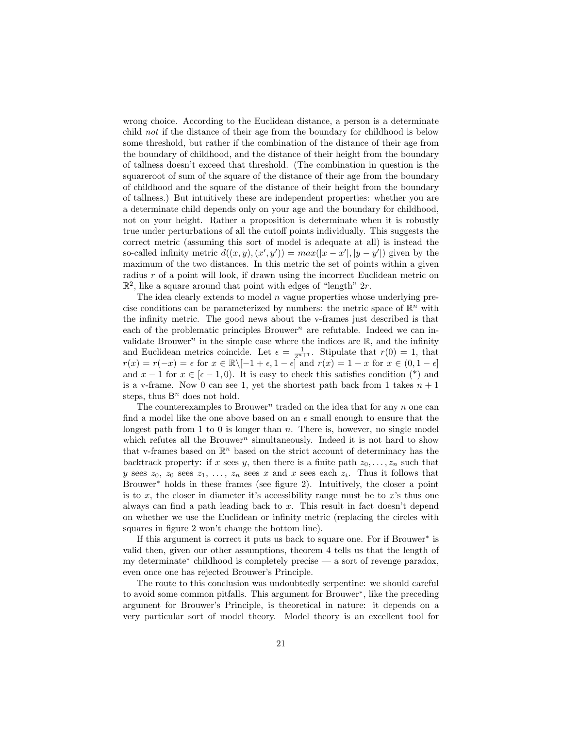wrong choice. According to the Euclidean distance, a person is a determinate child not if the distance of their age from the boundary for childhood is below some threshold, but rather if the combination of the distance of their age from the boundary of childhood, and the distance of their height from the boundary of tallness doesn't exceed that threshold. (The combination in question is the squareroot of sum of the square of the distance of their age from the boundary of childhood and the square of the distance of their height from the boundary of tallness.) But intuitively these are independent properties: whether you are a determinate child depends only on your age and the boundary for childhood, not on your height. Rather a proposition is determinate when it is robustly true under perturbations of all the cutoff points individually. This suggests the correct metric (assuming this sort of model is adequate at all) is instead the so-called infinity metric  $d((x, y), (x', y')) = max(|x - x'|, |y - y'|)$  given by the maximum of the two distances. In this metric the set of points within a given radius r of a point will look, if drawn using the incorrect Euclidean metric on  $\mathbb{R}^2$ , like a square around that point with edges of "length"  $2r$ .

The idea clearly extends to model  $n$  vague properties whose underlying precise conditions can be parameterized by numbers: the metric space of  $\mathbb{R}^n$  with the infinity metric. The good news about the v-frames just described is that each of the problematic principles Brouwer<sup>n</sup> are refutable. Indeed we can invalidate Brouwer<sup>n</sup> in the simple case where the indices are  $\mathbb{R}$ , and the infinity and Euclidean metrics coincide. Let  $\epsilon = \frac{1}{2^{n+1}}$ . Stipulate that  $r(0) = 1$ , that  $r(x) = r(-x) = \epsilon$  for  $x \in \mathbb{R} \setminus [-1 + \epsilon, 1 - \epsilon]$  and  $r(x) = 1 - x$  for  $x \in (0, 1 - \epsilon]$ and  $x - 1$  for  $x \in [\epsilon - 1, 0]$ . It is easy to check this satisfies condition (\*) and is a v-frame. Now 0 can see 1, yet the shortest path back from 1 takes  $n + 1$ steps, thus  $B<sup>n</sup>$  does not hold.

The counterexamples to Brouwer<sup>n</sup> traded on the idea that for any  $n$  one can find a model like the one above based on an  $\epsilon$  small enough to ensure that the longest path from 1 to 0 is longer than  $n$ . There is, however, no single model which refutes all the Brouwer<sup>n</sup> simultaneously. Indeed it is not hard to show that v-frames based on  $\mathbb{R}^n$  based on the strict account of determinacy has the backtrack property: if x sees y, then there is a finite path  $z_0, \ldots, z_n$  such that y sees  $z_0$ ,  $z_0$  sees  $z_1, \ldots, z_n$  sees x and x sees each  $z_i$ . Thus it follows that Brouwer<sup>∗</sup> holds in these frames (see figure 2). Intuitively, the closer a point is to x, the closer in diameter it's accessibility range must be to  $x$ 's thus one always can find a path leading back to x. This result in fact doesn't depend on whether we use the Euclidean or infinity metric (replacing the circles with squares in figure 2 won't change the bottom line).

If this argument is correct it puts us back to square one. For if Brouwer<sup>\*</sup> is valid then, given our other assumptions, theorem 4 tells us that the length of my determinate<sup>∗</sup> childhood is completely precise — a sort of revenge paradox, even once one has rejected Brouwer's Principle.

The route to this conclusion was undoubtedly serpentine: we should careful to avoid some common pitfalls. This argument for Brouwer<sup>∗</sup> , like the preceding argument for Brouwer's Principle, is theoretical in nature: it depends on a very particular sort of model theory. Model theory is an excellent tool for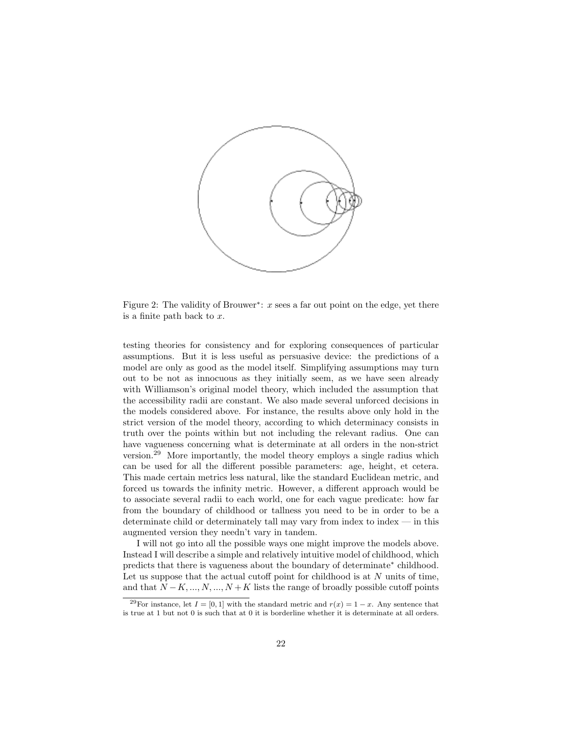

Figure 2: The validity of Brouwer<sup>\*</sup>:  $x$  sees a far out point on the edge, yet there is a finite path back to x.

testing theories for consistency and for exploring consequences of particular assumptions. But it is less useful as persuasive device: the predictions of a model are only as good as the model itself. Simplifying assumptions may turn out to be not as innocuous as they initially seem, as we have seen already with Williamson's original model theory, which included the assumption that the accessibility radii are constant. We also made several unforced decisions in the models considered above. For instance, the results above only hold in the strict version of the model theory, according to which determinacy consists in truth over the points within but not including the relevant radius. One can have vagueness concerning what is determinate at all orders in the non-strict version.<sup>29</sup> More importantly, the model theory employs a single radius which can be used for all the different possible parameters: age, height, et cetera. This made certain metrics less natural, like the standard Euclidean metric, and forced us towards the infinity metric. However, a different approach would be to associate several radii to each world, one for each vague predicate: how far from the boundary of childhood or tallness you need to be in order to be a determinate child or determinately tall may vary from index to index — in this augmented version they needn't vary in tandem.

I will not go into all the possible ways one might improve the models above. Instead I will describe a simple and relatively intuitive model of childhood, which predicts that there is vagueness about the boundary of determinate<sup>\*</sup> childhood. Let us suppose that the actual cutoff point for childhood is at  $N$  units of time, and that  $N - K, ..., N, ..., N + K$  lists the range of broadly possible cutoff points

<sup>&</sup>lt;sup>29</sup>For instance, let  $I = [0, 1]$  with the standard metric and  $r(x) = 1 - x$ . Any sentence that is true at 1 but not 0 is such that at 0 it is borderline whether it is determinate at all orders.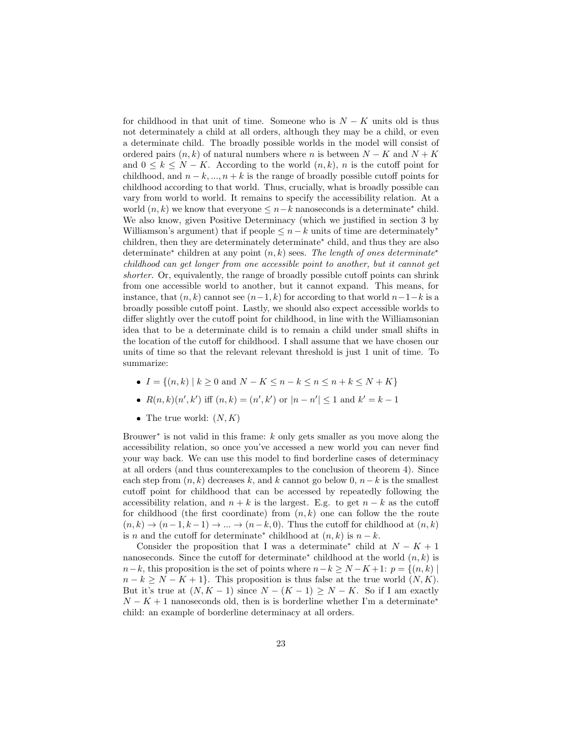for childhood in that unit of time. Someone who is  $N - K$  units old is thus not determinately a child at all orders, although they may be a child, or even a determinate child. The broadly possible worlds in the model will consist of ordered pairs  $(n, k)$  of natural numbers where n is between  $N - K$  and  $N + K$ and  $0 \leq k \leq N - K$ . According to the world  $(n, k)$ , n is the cutoff point for childhood, and  $n - k, ..., n + k$  is the range of broadly possible cutoff points for childhood according to that world. Thus, crucially, what is broadly possible can vary from world to world. It remains to specify the accessibility relation. At a world  $(n, k)$  we know that everyone  $\leq n-k$  nanoseconds is a determinate\* child. We also know, given Positive Determinacy (which we justified in section 3 by Williamson's argument) that if people  $\leq n-k$  units of time are determinately<sup>\*</sup> children, then they are determinately determinate<sup>∗</sup> child, and thus they are also determinate<sup>\*</sup> children at any point  $(n, k)$  sees. The length of ones determinate<sup>\*</sup> childhood can get longer from one accessible point to another, but it cannot get shorter. Or, equivalently, the range of broadly possible cutoff points can shrink from one accessible world to another, but it cannot expand. This means, for instance, that  $(n, k)$  cannot see  $(n-1, k)$  for according to that world  $n-1-k$  is a broadly possible cutoff point. Lastly, we should also expect accessible worlds to differ slightly over the cutoff point for childhood, in line with the Williamsonian idea that to be a determinate child is to remain a child under small shifts in the location of the cutoff for childhood. I shall assume that we have chosen our units of time so that the relevant relevant threshold is just 1 unit of time. To summarize:

- $I = \{(n, k) | k \ge 0 \text{ and } N K \le n k \le n \le n + k \le N + K\}$
- $R(n, k)(n', k')$  iff  $(n, k) = (n', k')$  or  $|n n'| \leq 1$  and  $k' = k 1$
- The true world:  $(N, K)$

Brouwer<sup>∗</sup> is not valid in this frame: k only gets smaller as you move along the accessibility relation, so once you've accessed a new world you can never find your way back. We can use this model to find borderline cases of determinacy at all orders (and thus counterexamples to the conclusion of theorem 4). Since each step from  $(n, k)$  decreases k, and k cannot go below 0,  $n-k$  is the smallest cutoff point for childhood that can be accessed by repeatedly following the accessibility relation, and  $n + k$  is the largest. E.g. to get  $n - k$  as the cutoff for childhood (the first coordinate) from  $(n, k)$  one can follow the the route  $(n, k) \to (n-1, k-1) \to \dots \to (n-k, 0)$ . Thus the cutoff for childhood at  $(n, k)$ is n and the cutoff for determinate<sup>\*</sup> childhood at  $(n, k)$  is  $n - k$ .

Consider the proposition that I was a determinate<sup>\*</sup> child at  $N - K + 1$ nanoseconds. Since the cutoff for determinate<sup>\*</sup> childhood at the world  $(n, k)$  is  $n-k$ , this proposition is the set of points where  $n-k \ge N-K+1$ :  $p = \{(n,k) \mid$  $n - k \geq N - K + 1$ . This proposition is thus false at the true world  $(N, K)$ . But it's true at  $(N, K - 1)$  since  $N - (K - 1) \ge N - K$ . So if I am exactly  $N - K + 1$  nanoseconds old, then is is borderline whether I'm a determinate<sup>\*</sup> child: an example of borderline determinacy at all orders.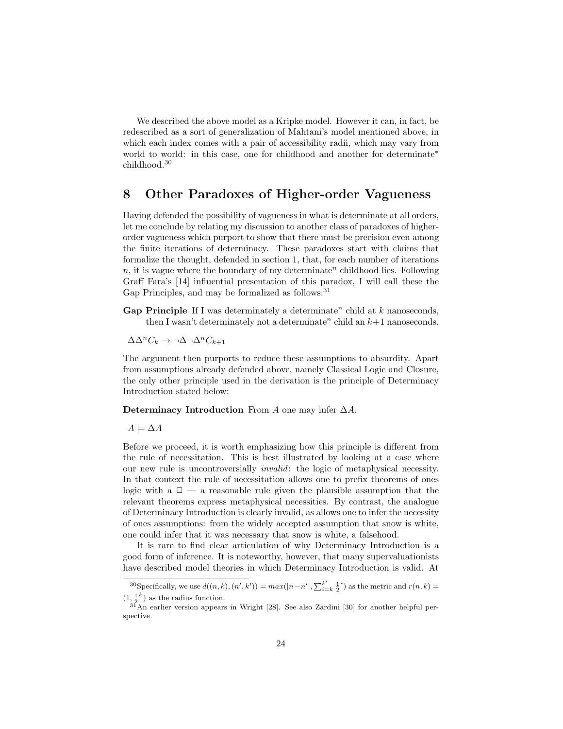We described the above model as a Kripke model. However it can, in fact, be redescribed as a sort of generalization of Mahtani's model mentioned above, in which each index comes with a pair of accessibility radii, which may vary from world to world: in this case, one for childhood and another for determinate<sup>\*</sup> childhood.<sup>30</sup>

# 8 Other Paradoxes of Higher-order Vagueness

Having defended the possibility of vagueness in what is determinate at all orders, let me conclude by relating my discussion to another class of paradoxes of higherorder vagueness which purport to show that there must be precision even among the finite iterations of determinacy. These paradoxes start with claims that formalize the thought, defended in section 1, that, for each number of iterations n, it is vague where the boundary of my determinate<sup>n</sup> childhood lies. Following Graff Fara's [14] influential presentation of this paradox, I will call these the Gap Principles, and may be formalized as follows:  $31$ 

**Gap Principle** If I was determinately a determinate<sup>n</sup> child at  $k$  nanoseconds, then I wasn't determinately not a determinate<sup>n</sup> child an  $k+1$  nanoseconds.

$$
\Delta \Delta^n C_k \to \neg \Delta \neg \Delta^n C_{k+1}
$$

The argument then purports to reduce these assumptions to absurdity. Apart from assumptions already defended above, namely Classical Logic and Closure, the only other principle used in the derivation is the principle of Determinacy Introduction stated below:

Determinacy Introduction From  $A$  one may infer  $\Delta A$ .

 $A \models \Delta A$ 

Before we proceed, it is worth emphasizing how this principle is different from the rule of necessitation. This is best illustrated by looking at a case where our new rule is uncontroversially invalid: the logic of metaphysical necessity. In that context the rule of necessitation allows one to prefix theorems of ones logic with a  $\Box$  — a reasonable rule given the plausible assumption that the relevant theorems express metaphysical necessities. By contrast, the analogue of Determinacy Introduction is clearly invalid, as allows one to infer the necessity of ones assumptions: from the widely accepted assumption that snow is white, one could infer that it was necessary that snow is white, a falsehood.

It is rare to find clear articulation of why Determinacy Introduction is a good form of inference. It is noteworthy, however, that many supervaluationists have described model theories in which Determinacy Introduction is valid. At

<sup>30</sup>Specifically, we use  $d((n, k), (n', k')) = max(|n - n'|, \sum_{i=k}^{k'} \frac{1}{2}^i)$  as the metric and  $r(n, k) =$  $(1, \frac{1}{2}^k)$  as the radius function.

<sup>31</sup>An earlier version appears in Wright [28]. See also Zardini [30] for another helpful perspective.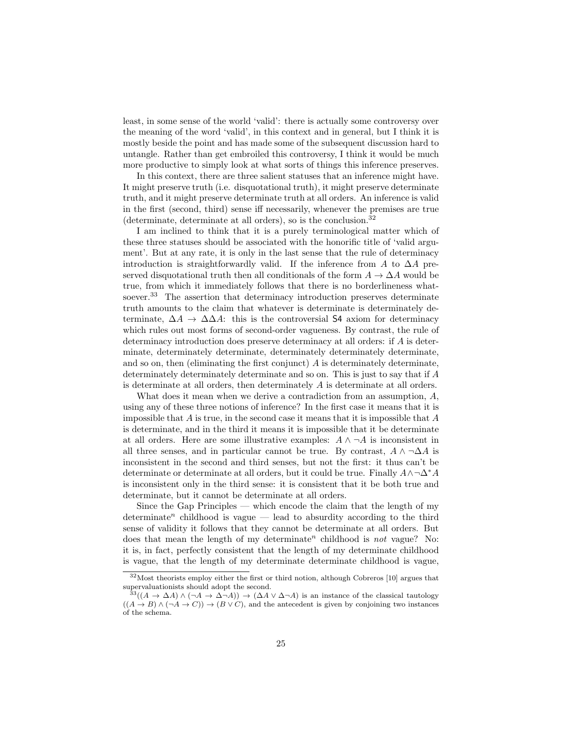least, in some sense of the world 'valid': there is actually some controversy over the meaning of the word 'valid', in this context and in general, but I think it is mostly beside the point and has made some of the subsequent discussion hard to untangle. Rather than get embroiled this controversy, I think it would be much more productive to simply look at what sorts of things this inference preserves.

In this context, there are three salient statuses that an inference might have. It might preserve truth (i.e. disquotational truth), it might preserve determinate truth, and it might preserve determinate truth at all orders. An inference is valid in the first (second, third) sense iff necessarily, whenever the premises are true (determinate, determinate at all orders), so is the conclusion.<sup>32</sup>

I am inclined to think that it is a purely terminological matter which of these three statuses should be associated with the honorific title of 'valid argument'. But at any rate, it is only in the last sense that the rule of determinacy introduction is straightforwardly valid. If the inference from A to  $\Delta A$  preserved disquotational truth then all conditionals of the form  $A \to \Delta A$  would be true, from which it immediately follows that there is no borderlineness whatsoever.<sup>33</sup> The assertion that determinacy introduction preserves determinate truth amounts to the claim that whatever is determinate is determinately determinate,  $\Delta A \rightarrow \Delta \Delta A$ : this is the controversial S4 axiom for determinacy which rules out most forms of second-order vagueness. By contrast, the rule of determinacy introduction does preserve determinacy at all orders: if A is determinate, determinately determinate, determinately determinately determinate, and so on, then (eliminating the first conjunct)  $A$  is determinately determinate, determinately determinately determinate and so on. This is just to say that if A is determinate at all orders, then determinately A is determinate at all orders.

What does it mean when we derive a contradiction from an assumption,  $A$ , using any of these three notions of inference? In the first case it means that it is impossible that  $A$  is true, in the second case it means that it is impossible that  $A$ is determinate, and in the third it means it is impossible that it be determinate at all orders. Here are some illustrative examples:  $A \wedge \neg A$  is inconsistent in all three senses, and in particular cannot be true. By contrast,  $A \wedge \neg \Delta A$  is inconsistent in the second and third senses, but not the first: it thus can't be determinate or determinate at all orders, but it could be true. Finally  $A \wedge \neg \Delta^* A$ is inconsistent only in the third sense: it is consistent that it be both true and determinate, but it cannot be determinate at all orders.

Since the Gap Principles — which encode the claim that the length of my determinate<sup>n</sup> childhood is vague — lead to absurdity according to the third sense of validity it follows that they cannot be determinate at all orders. But does that mean the length of my determinate<sup>n</sup> childhood is not vague? No: it is, in fact, perfectly consistent that the length of my determinate childhood is vague, that the length of my determinate determinate childhood is vague,

 $32$ Most theorists employ either the first or third notion, although Cobreros [10] argues that supervaluationists should adopt the second.

 $33((A \to \Delta A) \wedge (\neg A \to \Delta \neg A)) \to (\Delta A \vee \Delta \neg A)$  is an instance of the classical tautology  $((A \to B) \land (\neg A \to C)) \to (B \lor C)$ , and the antecedent is given by conjoining two instances of the schema.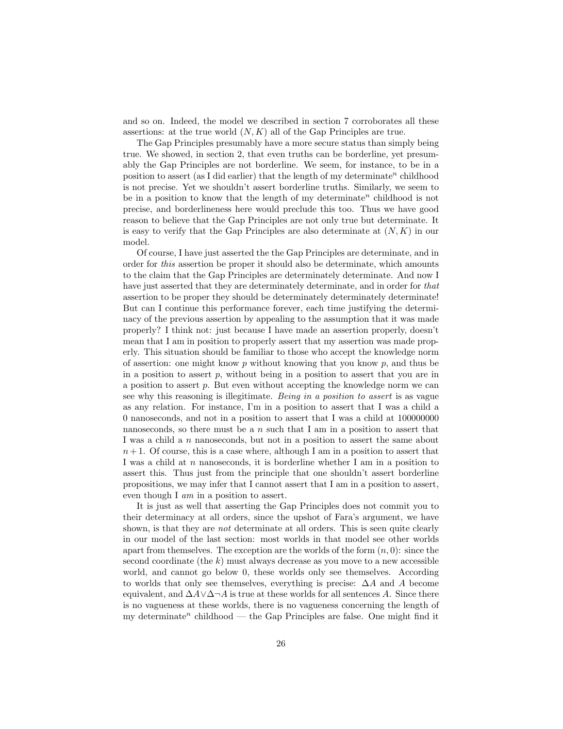and so on. Indeed, the model we described in section 7 corroborates all these assertions: at the true world  $(N, K)$  all of the Gap Principles are true.

The Gap Principles presumably have a more secure status than simply being true. We showed, in section 2, that even truths can be borderline, yet presumably the Gap Principles are not borderline. We seem, for instance, to be in a position to assert (as I did earlier) that the length of my determinate<sup>n</sup> childhood is not precise. Yet we shouldn't assert borderline truths. Similarly, we seem to be in a position to know that the length of my determinate<sup>n</sup> childhood is not precise, and borderlineness here would preclude this too. Thus we have good reason to believe that the Gap Principles are not only true but determinate. It is easy to verify that the Gap Principles are also determinate at  $(N, K)$  in our model.

Of course, I have just asserted the the Gap Principles are determinate, and in order for this assertion be proper it should also be determinate, which amounts to the claim that the Gap Principles are determinately determinate. And now I have just asserted that they are determinately determinate, and in order for that assertion to be proper they should be determinately determinately determinate! But can I continue this performance forever, each time justifying the determinacy of the previous assertion by appealing to the assumption that it was made properly? I think not: just because I have made an assertion properly, doesn't mean that I am in position to properly assert that my assertion was made properly. This situation should be familiar to those who accept the knowledge norm of assertion: one might know  $p$  without knowing that you know  $p$ , and thus be in a position to assert  $p$ , without being in a position to assert that you are in a position to assert p. But even without accepting the knowledge norm we can see why this reasoning is illegitimate. Being in a position to assert is as vague as any relation. For instance, I'm in a position to assert that I was a child a 0 nanoseconds, and not in a position to assert that I was a child at 100000000 nanoseconds, so there must be a n such that I am in a position to assert that I was a child a n nanoseconds, but not in a position to assert the same about  $n+1$ . Of course, this is a case where, although I am in a position to assert that I was a child at  $n$  nanoseconds, it is borderline whether I am in a position to assert this. Thus just from the principle that one shouldn't assert borderline propositions, we may infer that I cannot assert that I am in a position to assert, even though I am in a position to assert.

It is just as well that asserting the Gap Principles does not commit you to their determinacy at all orders, since the upshot of Fara's argument, we have shown, is that they are *not* determinate at all orders. This is seen quite clearly in our model of the last section: most worlds in that model see other worlds apart from themselves. The exception are the worlds of the form  $(n, 0)$ : since the second coordinate (the  $k$ ) must always decrease as you move to a new accessible world, and cannot go below 0, these worlds only see themselves. According to worlds that only see themselves, everything is precise:  $\Delta A$  and A become equivalent, and  $\Delta A \vee \Delta \neg A$  is true at these worlds for all sentences A. Since there is no vagueness at these worlds, there is no vagueness concerning the length of my determinate<sup>n</sup> childhood — the Gap Principles are false. One might find it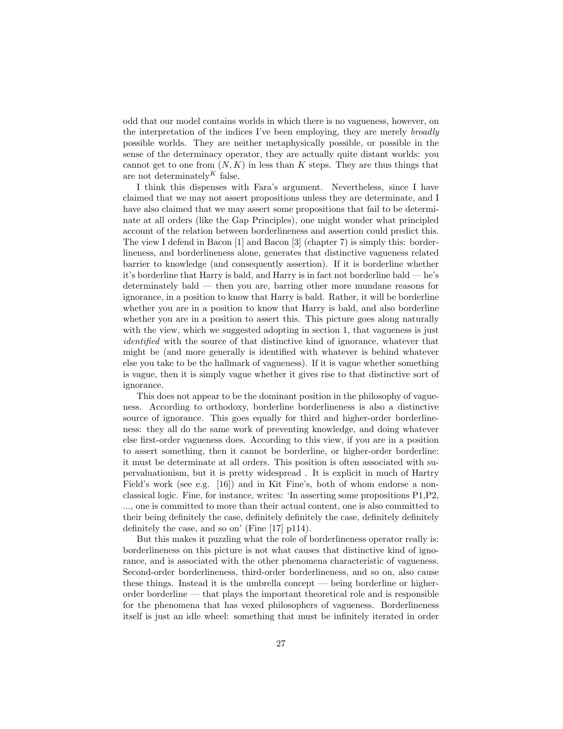odd that our model contains worlds in which there is no vagueness, however, on the interpretation of the indices I've been employing, they are merely broadly possible worlds. They are neither metaphysically possible, or possible in the sense of the determinacy operator, they are actually quite distant worlds: you cannot get to one from  $(N, K)$  in less than K steps. They are thus things that are not determinately K false.

I think this dispenses with Fara's argument. Nevertheless, since I have claimed that we may not assert propositions unless they are determinate, and I have also claimed that we may assert some propositions that fail to be determinate at all orders (like the Gap Principles), one might wonder what principled account of the relation between borderlineness and assertion could predict this. The view I defend in Bacon [1] and Bacon [3] (chapter 7) is simply this: borderlineness, and borderlineness alone, generates that distinctive vagueness related barrier to knowledge (and consequently assertion). If it is borderline whether it's borderline that Harry is bald, and Harry is in fact not borderline bald — he's determinately bald — then you are, barring other more mundane reasons for ignorance, in a position to know that Harry is bald. Rather, it will be borderline whether you are in a position to know that Harry is bald, and also borderline whether you are in a position to assert this. This picture goes along naturally with the view, which we suggested adopting in section 1, that vagueness is just identified with the source of that distinctive kind of ignorance, whatever that might be (and more generally is identified with whatever is behind whatever else you take to be the hallmark of vagueness). If it is vague whether something is vague, then it is simply vague whether it gives rise to that distinctive sort of ignorance.

This does not appear to be the dominant position in the philosophy of vagueness. According to orthodoxy, borderline borderlineness is also a distinctive source of ignorance. This goes equally for third and higher-order borderlineness: they all do the same work of preventing knowledge, and doing whatever else first-order vagueness does. According to this view, if you are in a position to assert something, then it cannot be borderline, or higher-order borderline: it must be determinate at all orders. This position is often associated with supervaluationism, but it is pretty widespread . It is explicit in much of Hartry Field's work (see e.g. [16]) and in Kit Fine's, both of whom endorse a nonclassical logic. Fine, for instance, writes: 'In asserting some propositions P1,P2, ..., one is committed to more than their actual content, one is also committed to their being definitely the case, definitely definitely the case, definitely definitely definitely the case, and so on' (Fine [17] p114).

But this makes it puzzling what the role of borderlineness operator really is: borderlineness on this picture is not what causes that distinctive kind of ignorance, and is associated with the other phenomena characteristic of vagueness. Second-order borderlineness, third-order borderlineness, and so on, also cause these things. Instead it is the umbrella concept — being borderline or higherorder borderline — that plays the important theoretical role and is responsible for the phenomena that has vexed philosophers of vagueness. Borderlineness itself is just an idle wheel: something that must be infinitely iterated in order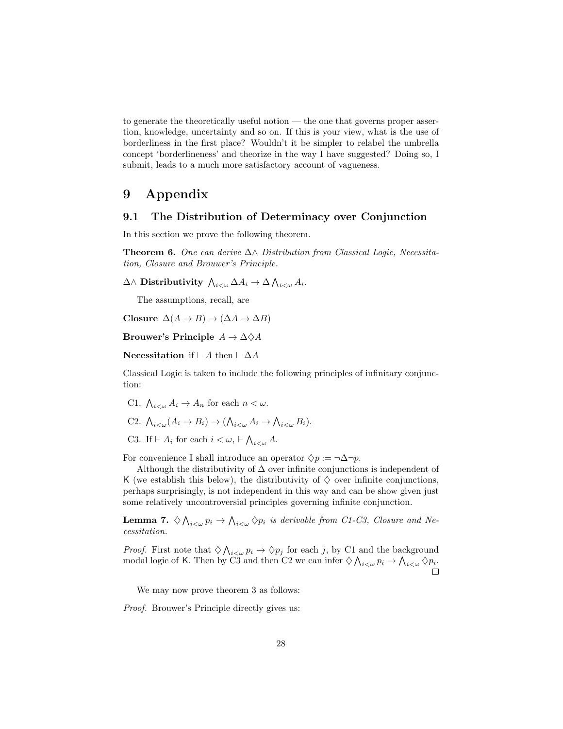to generate the theoretically useful notion — the one that governs proper assertion, knowledge, uncertainty and so on. If this is your view, what is the use of borderliness in the first place? Wouldn't it be simpler to relabel the umbrella concept 'borderlineness' and theorize in the way I have suggested? Doing so, I submit, leads to a much more satisfactory account of vagueness.

# 9 Appendix

#### 9.1 The Distribution of Determinacy over Conjunction

In this section we prove the following theorem.

**Theorem 6.** One can derive  $\Delta \wedge$  Distribution from Classical Logic, Necessitation, Closure and Brouwer's Principle.

 $\Delta \wedge$  Distributivity  $\bigwedge_{i<\omega}\Delta A_i \to \Delta \bigwedge_{i<\omega} A_i$ .

The assumptions, recall, are

Closure  $\Delta(A \to B) \to (\Delta A \to \Delta B)$ 

Brouwer's Principle  $A \to \Delta \diamondsuit A$ 

Necessitation if  $\vdash A$  then  $\vdash \Delta A$ 

Classical Logic is taken to include the following principles of infinitary conjunction:

- C1.  $\bigwedge_{i<\omega} A_i \to A_n$  for each  $n<\omega$ .
- C2.  $\bigwedge_{i<\omega}(A_i \to B_i) \to (\bigwedge_{i<\omega} A_i \to \bigwedge_{i<\omega} B_i).$
- C3. If  $\vdash A_i$  for each  $i < \omega, \vdash \bigwedge_{i < \omega} A$ .

For convenience I shall introduce an operator  $\Diamond p := \neg \Delta \neg p$ .

Although the distributivity of  $\Delta$  over infinite conjunctions is independent of K (we establish this below), the distributivity of  $\diamondsuit$  over infinite conjunctions, perhaps surprisingly, is not independent in this way and can be show given just some relatively uncontroversial principles governing infinite conjunction.

**Lemma 7.**  $\Diamond \bigwedge_{i<\omega} p_i \to \bigwedge_{i<\omega} \Diamond p_i$  is derivable from C1-C3, Closure and Necessitation.

*Proof.* First note that  $\Diamond \bigwedge_{i \in \omega} p_i \to \Diamond p_j$  for each j, by C1 and the background modal logic of K. Then by C3 and then C2 we can infer  $\Diamond \bigwedge_{i<\omega} p_i \to \bigwedge_{i<\omega} \Diamond p_i$ .

We may now prove theorem 3 as follows:

Proof. Brouwer's Principle directly gives us: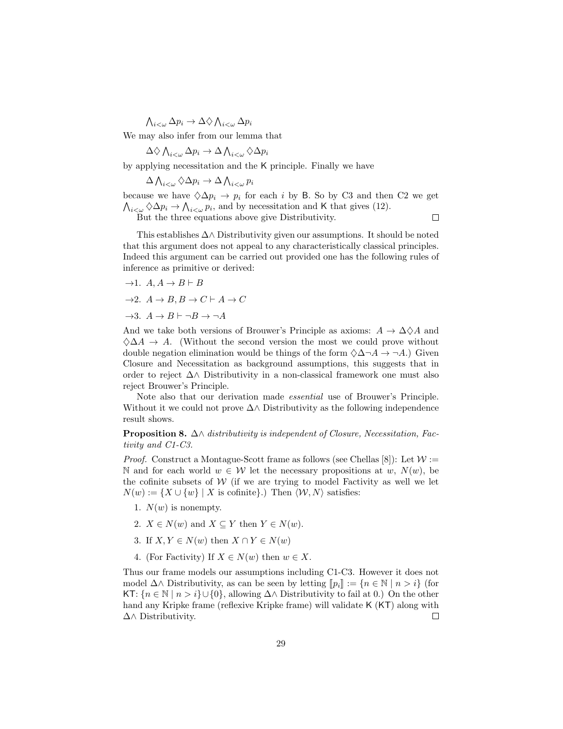$\bigwedge_{i<\omega}\Delta p_i\to \Delta\Diamond\bigwedge_{i<\omega}\Delta p_i$ 

We may also infer from our lemma that

$$
\Delta \diamondsuit \bigwedge_{i<\omega} \Delta p_i \to \Delta \bigwedge_{i<\omega} \diamondsuit \Delta p_i
$$

by applying necessitation and the K principle. Finally we have

 $\Delta\bigwedge_{i<\omega}\bigotimes\Delta p_i\to \Delta\bigwedge_{i<\omega}p_i$ 

because we have  $\Diamond \Delta p_i \to p_i$  for each i by B. So by C3 and then C2 we get  $\bigwedge_{i<\omega}\bigotimes\Delta p_i\to\bigwedge_{i<\omega}p_i$ , and by necessitation and K that gives (12).

But the three equations above give Distributivity.

 $\Box$ 

This establishes  $\Delta \wedge$  Distributivity given our assumptions. It should be noted that this argument does not appeal to any characteristically classical principles. Indeed this argument can be carried out provided one has the following rules of inference as primitive or derived:

$$
\rightarrow 1. \ A, A \rightarrow B \vdash B
$$

 $\rightarrow 2. A \rightarrow B, B \rightarrow C \vdash A \rightarrow C$ 

$$
\rightarrow\!\!3.~A\rightarrow B\vdash\neg B\rightarrow\neg A
$$

And we take both versions of Brouwer's Principle as axioms:  $A \to \Delta \diamond A$  and  $\diamondsuit \Delta A \rightarrow A$ . (Without the second version the most we could prove without double negation elimination would be things of the form  $\diamondsuit \Delta \neg A \rightarrow \neg A$ .) Given Closure and Necessitation as background assumptions, this suggests that in order to reject ∆∧ Distributivity in a non-classical framework one must also reject Brouwer's Principle.

Note also that our derivation made *essential* use of Brouwer's Principle. Without it we could not prove  $\Delta \wedge$  Distributivity as the following independence result shows.

**Proposition 8.**  $\Delta \wedge$  distributivity is independent of Closure, Necessitation, Factivity and C1-C3.

*Proof.* Construct a Montague-Scott frame as follows (see Chellas [8]): Let  $W :=$ N and for each world  $w ∈ W$  let the necessary propositions at  $w, N(w)$ , be the cofinite subsets of  $W$  (if we are trying to model Factivity as well we let  $N(w) := \{ X \cup \{w\} \mid X \text{ is cofinite} \}.$  Then  $\langle W, N \rangle$  satisfies:

- 1.  $N(w)$  is nonempty.
- 2.  $X \in N(w)$  and  $X \subseteq Y$  then  $Y \in N(w)$ .
- 3. If  $X, Y \in N(w)$  then  $X \cap Y \in N(w)$
- 4. (For Factivity) If  $X \in N(w)$  then  $w \in X$ .

Thus our frame models our assumptions including C1-C3. However it does not model  $\Delta \wedge$  Distributivity, as can be seen by letting  $\llbracket p_i \rrbracket := \{n \in \mathbb{N} \mid n > i\}$  (for KT:  ${n \in \mathbb{N} \mid n > i} \cup {0}$ , allowing  $\Delta \wedge$  Distributivity to fail at 0.) On the other hand any Kripke frame (reflexive Kripke frame) will validate K (KT) along with ∆∧ Distributivity.  $\Box$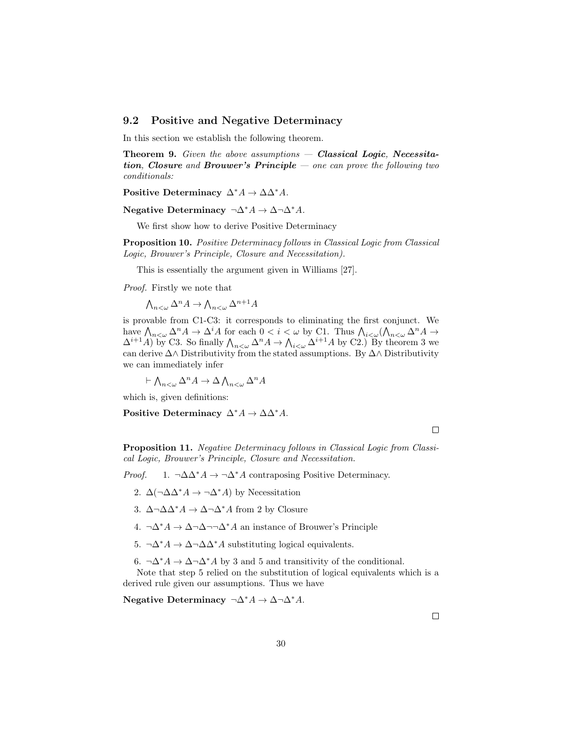#### 9.2 Positive and Negative Determinacy

In this section we establish the following theorem.

**Theorem 9.** Given the above assumptions  $-$  **Classical Logic, Necessita**tion, Closure and Brouwer's Principle — one can prove the following two conditionals:

Positive Determinacy  $\Delta^* A \to \Delta \Delta^* A$ .

Negative Determinacy  $\neg \Delta^* A \rightarrow \Delta \neg \Delta^* A$ .

We first show how to derive Positive Determinacy

Proposition 10. Positive Determinacy follows in Classical Logic from Classical Logic, Brouwer's Principle, Closure and Necessitation).

This is essentially the argument given in Williams [27].

Proof. Firstly we note that

 $\bigwedge_{n<\omega}\Delta^n A\to \bigwedge_{n<\omega}\Delta^{n+1} A$ 

is provable from C1-C3: it corresponds to eliminating the first conjunct. We have  $\bigwedge_{n<\omega}\Delta^n A\to \Delta^iA$  for each  $0< i<\omega$  by C1. Thus  $\bigwedge_{i<\omega}(\bigwedge_{n<\omega}\Delta^n A\to\Delta^iA)$  $\Delta^{i+1}A$ ) by C3. So finally  $\bigwedge_{n<\omega}\Delta^n A\to\bigwedge_{i<\omega}\Delta^{i+1}A$  by C2.) By theorem 3 we can derive  $\Delta \wedge$  Distributivity from the stated assumptions. By  $\Delta \wedge$  Distributivity we can immediately infer

 $\vdash \bigwedge_{n<\omega} \Delta^n A \to \Delta \bigwedge_{n<\omega} \Delta^n A$ 

which is, given definitions:

Positive Determinacy  $\Delta^* A \to \Delta \Delta^* A$ .

 $\Box$ 

Proposition 11. Negative Determinacy follows in Classical Logic from Classical Logic, Brouwer's Principle, Closure and Necessitation.

*Proof.* 1. ¬ $\Delta \Delta^* A \rightarrow \Delta^* A$  contraposing Positive Determinacy.

- 2.  $\Delta(\neg \Delta \Delta^* A \rightarrow \neg \Delta^* A)$  by Necessitation
- 3.  $\Delta \neg \Delta \Delta^* A \rightarrow \Delta \neg \Delta^* A$  from 2 by Closure
- 4.  $\neg$ Δ<sup>∗</sup> $A \rightarrow$   $\triangle$  $\neg$  $\triangle$ <sup>\*</sup> $A$  an instance of Brouwer's Principle
- 5. ¬ $\Delta^* A \to \Delta \neg \Delta \Delta^* A$  substituting logical equivalents.

6.  $\neg$ ∆<sup>∗</sup>A → ∆ $\neg$ ∆<sup>∗</sup>A by 3 and 5 and transitivity of the conditional.

Note that step 5 relied on the substitution of logical equivalents which is a derived rule given our assumptions. Thus we have

Negative Determinacy  $\neg \Delta^* A \rightarrow \Delta \neg \Delta^* A$ .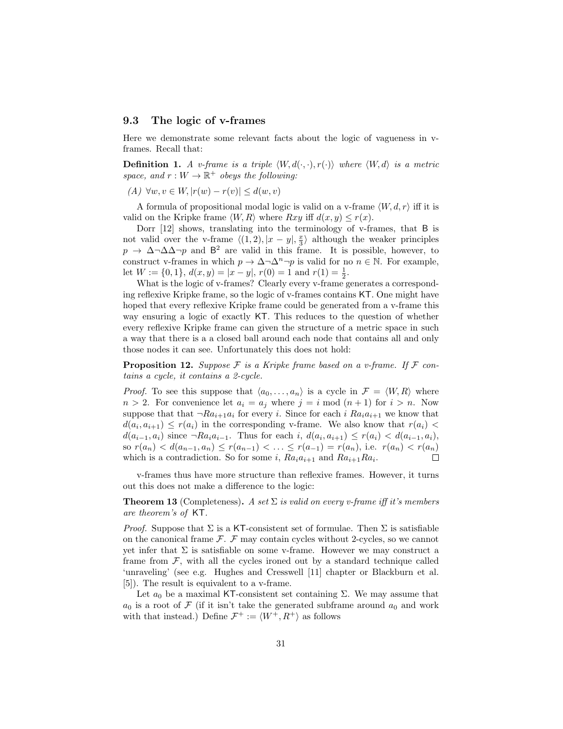#### 9.3 The logic of v-frames

Here we demonstrate some relevant facts about the logic of vagueness in vframes. Recall that:

**Definition 1.** A v-frame is a triple  $\langle W, d(\cdot, \cdot), r(\cdot) \rangle$  where  $\langle W, d \rangle$  is a metric space, and  $r: W \to \mathbb{R}^+$  obeys the following:

(A) ∀w,  $v \in W$ ,  $|r(w) - r(v)| \leq d(w, v)$ 

A formula of propositional modal logic is valid on a v-frame  $\langle W, d, r \rangle$  iff it is valid on the Kripke frame  $\langle W, R \rangle$  where  $Rxy$  iff  $d(x, y) \leq r(x)$ .

Dorr [12] shows, translating into the terminology of v-frames, that B is not valid over the v-frame  $\langle (1, 2), |x - y|, \frac{x}{3} \rangle$  although the weaker principles  $p \to \Delta \neg \Delta \Delta \neg p$  and B<sup>2</sup> are valid in this frame. It is possible, however, to construct v-frames in which  $p \to \Delta \neg \Delta^n \neg p$  is valid for no  $n \in \mathbb{N}$ . For example, let  $W := \{0, 1\}, d(x, y) = |x - y|, r(0) = 1 \text{ and } r(1) = \frac{1}{2}.$ 

What is the logic of v-frames? Clearly every v-frame generates a corresponding reflexive Kripke frame, so the logic of v-frames contains KT. One might have hoped that every reflexive Kripke frame could be generated from a v-frame this way ensuring a logic of exactly KT. This reduces to the question of whether every reflexive Kripke frame can given the structure of a metric space in such a way that there is a a closed ball around each node that contains all and only those nodes it can see. Unfortunately this does not hold:

**Proposition 12.** Suppose  $F$  is a Kripke frame based on a v-frame. If  $F$  contains a cycle, it contains a 2-cycle.

*Proof.* To see this suppose that  $\langle a_0, \ldots, a_n \rangle$  is a cycle in  $\mathcal{F} = \langle W, R \rangle$  where  $n > 2$ . For convenience let  $a_i = a_j$  where  $j = i \mod (n + 1)$  for  $i > n$ . Now suppose that that  $\neg Ra_{i+1}a_i$  for every i. Since for each i  $Ra_ia_{i+1}$  we know that  $d(a_i, a_{i+1}) \leq r(a_i)$  in the corresponding v-frame. We also know that  $r(a_i)$  $d(a_{i-1}, a_i)$  since  $\neg Ra_i a_{i-1}$ . Thus for each i,  $d(a_i, a_{i+1}) \leq r(a_i) < d(a_{i-1}, a_i)$ , so  $r(a_n) < d(a_{n-1}, a_n) \le r(a_{n-1}) < \ldots \le r(a_{-1}) = r(a_n)$ , i.e.  $r(a_n) < r(a_n)$ which is a contradiction. So for some i,  $Ra_i a_{i+1}$  and  $Ra_{i+1} Ra_i$ .  $\Box$ 

v-frames thus have more structure than reflexive frames. However, it turns out this does not make a difference to the logic:

**Theorem 13** (Completeness). A set  $\Sigma$  is valid on every v-frame iff it's members are theorem's of KT.

*Proof.* Suppose that  $\Sigma$  is a KT-consistent set of formulae. Then  $\Sigma$  is satisfiable on the canonical frame  $\mathcal{F}$ .  $\mathcal{F}$  may contain cycles without 2-cycles, so we cannot yet infer that  $\Sigma$  is satisfiable on some v-frame. However we may construct a frame from  $F$ , with all the cycles ironed out by a standard technique called 'unraveling' (see e.g. Hughes and Cresswell [11] chapter or Blackburn et al. [5]). The result is equivalent to a v-frame.

Let  $a_0$  be a maximal KT-consistent set containing Σ. We may assume that  $a_0$  is a root of F (if it isn't take the generated subframe around  $a_0$  and work with that instead.) Define  $\mathcal{F}^+ := \langle W^+, R^+ \rangle$  as follows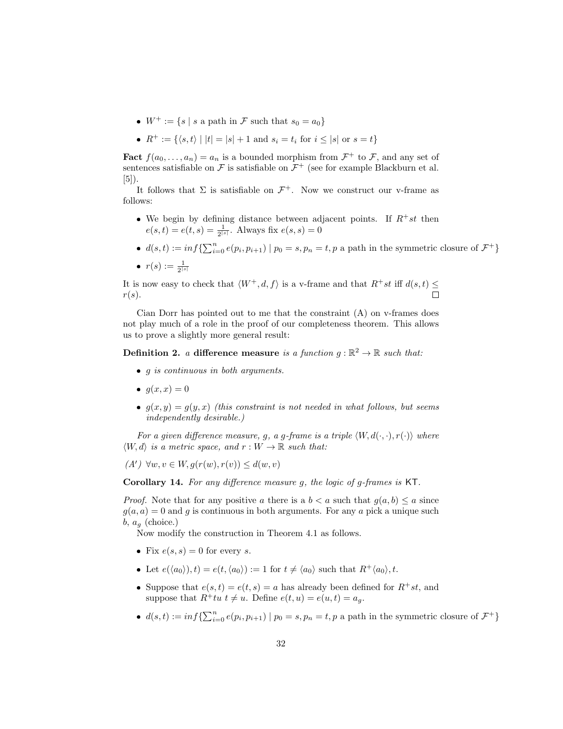- $W^+ := \{ s \mid s \text{ a path in } \mathcal{F} \text{ such that } s_0 = a_0 \}$
- $R^+ := \{\langle s, t \rangle | |t| = |s| + 1 \text{ and } s_i = t_i \text{ for } i \leq |s| \text{ or } s = t\}$

**Fact**  $f(a_0, \ldots, a_n) = a_n$  is a bounded morphism from  $\mathcal{F}^+$  to  $\mathcal{F}$ , and any set of sentences satisfiable on  $\mathcal F$  is satisfiable on  $\mathcal F^+$  (see for example Blackburn et al. [5]).

It follows that  $\Sigma$  is satisfiable on  $\mathcal{F}^+$ . Now we construct our v-frame as follows:

- We begin by defining distance between adjacent points. If  $R^+st$  then  $e(s,t) = e(t,s) = \frac{1}{2^{|s|}}$ . Always fix  $e(s,s) = 0$
- $\bullet$   $d(s,t) := \inf \{ \sum_{i=0}^{n} e(p_i, p_{i+1}) \mid p_0 = s, p_n = t, p \text{ a path in the symmetric closure of } \mathcal{F}^+ \}$
- $r(s) := \frac{1}{2^{|s|}}$

It is now easy to check that  $\langle W^+, d, f \rangle$  is a v-frame and that  $R^+st$  iff  $d(s, t) \leq$  $r(s)$ .  $\Box$ 

Cian Dorr has pointed out to me that the constraint (A) on v-frames does not play much of a role in the proof of our completeness theorem. This allows us to prove a slightly more general result:

**Definition 2.** a difference measure is a function  $g : \mathbb{R}^2 \to \mathbb{R}$  such that:

- $\bullet$  g is continuous in both arguments.
- $\bullet$   $g(x, x) = 0$
- $g(x, y) = g(y, x)$  (this constraint is not needed in what follows, but seems independently desirable.)

For a given difference measure, g, a g-frame is a triple  $\langle W, d(\cdot, \cdot), r(\cdot) \rangle$  where  $\langle W, d \rangle$  is a metric space, and  $r : W \to \mathbb{R}$  such that:

 $(A') \ \forall w, v \in W, g(r(w), r(v)) \leq d(w, v)$ 

Corollary 14. For any difference measure g, the logic of g-frames is KT.

*Proof.* Note that for any positive a there is a  $b < a$  such that  $q(a, b) < a$  since  $g(a, a) = 0$  and g is continuous in both arguments. For any a pick a unique such  $b, a_g$  (choice.)

Now modify the construction in Theorem 4.1 as follows.

- Fix  $e(s, s) = 0$  for every s.
- Let  $e(\langle a_0 \rangle), t) = e(t, \langle a_0 \rangle) := 1$  for  $t \neq \langle a_0 \rangle$  such that  $R^+ \langle a_0 \rangle, t$ .
- Suppose that  $e(s,t) = e(t,s) = a$  has already been defined for  $R^+st$ , and suppose that  $R^+tu$   $t \neq u$ . Define  $e(t, u) = e(u, t) = a_g$ .
- $d(s,t) := \inf \{ \sum_{i=0}^n e(p_i, p_{i+1}) \mid p_0 = s, p_n = t, p \text{ a path in the symmetric closure of } \mathcal{F}^+ \}$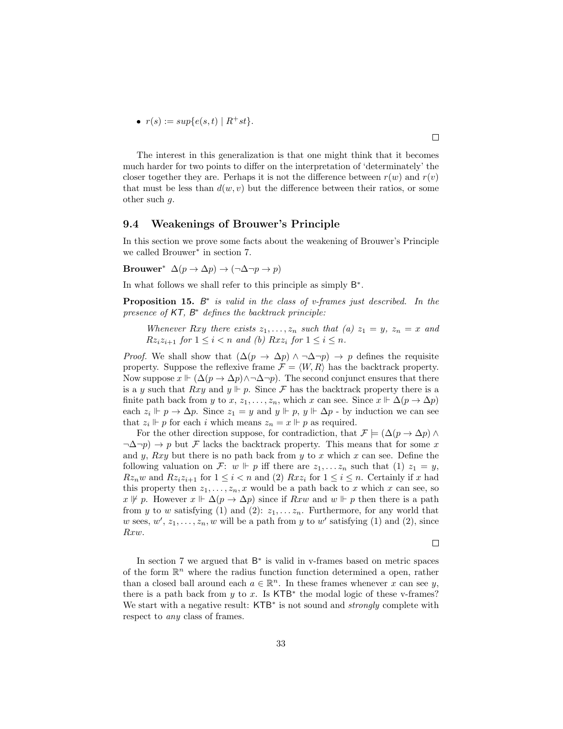$$
\bullet \ \ r(s) := \sup\{e(s,t) \mid R^+st\}.
$$

The interest in this generalization is that one might think that it becomes much harder for two points to differ on the interpretation of 'determinately' the closer together they are. Perhaps it is not the difference between  $r(w)$  and  $r(v)$ that must be less than  $d(w, v)$  but the difference between their ratios, or some other such g.

#### 9.4 Weakenings of Brouwer's Principle

In this section we prove some facts about the weakening of Brouwer's Principle we called Brouwer<sup>∗</sup> in section 7.

Brouwer<sup>∗</sup>  $\Delta(p \to \Delta p) \to (\neg \Delta \neg p \to p)$ 

In what follows we shall refer to this principle as simply  $B^*$ .

**Proposition 15.**  $B^*$  is valid in the class of v-frames just described. In the presence of  $KT$ ,  $B^*$  defines the backtrack principle:

Whenever Rxy there exists  $z_1, \ldots, z_n$  such that (a)  $z_1 = y$ ,  $z_n = x$  and  $Rz_iz_{i+1}$  for  $1 \leq i < n$  and (b)  $Rxz_i$  for  $1 \leq i \leq n$ .

*Proof.* We shall show that  $(\Delta(p \to \Delta p) \land \neg \Delta \neg p) \to p$  defines the requisite property. Suppose the reflexive frame  $\mathcal{F} = \langle W, R \rangle$  has the backtrack property. Now suppose  $x \Vdash (\Delta(p \to \Delta p) \land \neg \Delta \neg p)$ . The second conjunct ensures that there is a y such that  $Rxy$  and  $y \Vdash p$ . Since F has the backtrack property there is a finite path back from y to x,  $z_1, \ldots, z_n$ , which x can see. Since  $x \Vdash \Delta(p \to \Delta p)$ each  $z_i \Vdash p \to \Delta p$ . Since  $z_1 = y$  and  $y \Vdash p$ ,  $y \Vdash \Delta p$  - by induction we can see that  $z_i \Vdash p$  for each i which means  $z_n = x \Vdash p$  as required.

For the other direction suppose, for contradiction, that  $\mathcal{F} \models (\Delta(p \to \Delta p) \land \Delta p)$  $\neg \Delta \neg p$   $\rightarrow p$  but F lacks the backtrack property. This means that for some x and y, Rxy but there is no path back from y to x which x can see. Define the following valuation on F: w  $\Vdash p$  iff there are  $z_1, \ldots z_n$  such that (1)  $z_1 = y$ ,  $Rz_nw$  and  $Rz_iz_{i+1}$  for  $1 \leq i \leq n$  and (2)  $Rxz_i$  for  $1 \leq i \leq n$ . Certainly if x had this property then  $z_1, \ldots, z_n, x$  would be a path back to x which x can see, so  $x \not\Vdash p$ . However  $x \Vdash \Delta(p \to \Delta p)$  since if  $Rxw$  and  $w \Vdash p$  then there is a path from y to w satisfying (1) and (2):  $z_1, \ldots z_n$ . Furthermore, for any world that w sees,  $w', z_1, \ldots, z_n, w$  will be a path from y to w' satisfying (1) and (2), since Rxw.

 $\Box$ 

In section 7 we argued that  $B^*$  is valid in v-frames based on metric spaces of the form  $\mathbb{R}^n$  where the radius function function determined a open, rather than a closed ball around each  $a \in \mathbb{R}^n$ . In these frames whenever x can see y, there is a path back from  $y$  to  $x$ . Is KTB<sup>\*</sup> the modal logic of these v-frames? We start with a negative result: KTB<sup>\*</sup> is not sound and *strongly* complete with respect to any class of frames.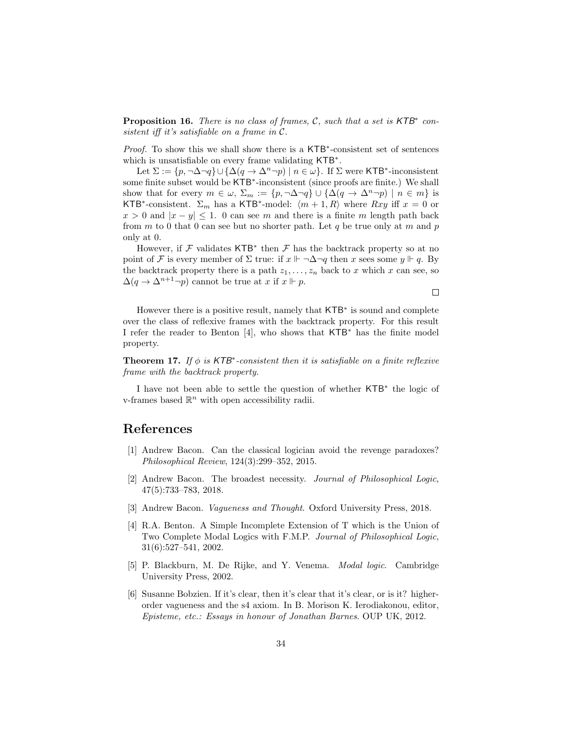**Proposition 16.** There is no class of frames,  $C$ , such that a set is  $KTB^*$  consistent iff it's satisfiable on a frame in C.

Proof. To show this we shall show there is a KTB<sup>\*</sup>-consistent set of sentences which is unsatisfiable on every frame validating KTB<sup>\*</sup>.

Let  $\Sigma := \{p, \neg \Delta \neg q\} \cup \{\Delta(q \to \Delta^n \neg p) \mid n \in \omega\}$ . If  $\Sigma$  were KTB<sup>\*</sup>-inconsistent some finite subset would be KTB<sup>\*</sup>-inconsistent (since proofs are finite.) We shall show that for every  $m \in \omega$ ,  $\Sigma_m := \{p, \neg \Delta \neg q\} \cup \{\Delta(q \rightarrow \Delta^n \neg p) \mid n \in m\}$  is KTB<sup>\*</sup>-consistent.  $\Sigma_m$  has a KTB<sup>\*</sup>-model:  $\langle m + 1, R \rangle$  where  $Rxy$  iff  $x = 0$  or  $x > 0$  and  $|x - y| \le 1$ . 0 can see m and there is a finite m length path back from  $m$  to 0 that 0 can see but no shorter path. Let  $q$  be true only at  $m$  and  $p$ only at 0.

However, if  $\mathcal F$  validates KTB<sup>\*</sup> then  $\mathcal F$  has the backtrack property so at no point of F is every member of  $\Sigma$  true: if  $x \Vdash \neg \Delta \neg q$  then x sees some  $y \Vdash q$ . By the backtrack property there is a path  $z_1, \ldots, z_n$  back to x which x can see, so  $\Delta(q \to \Delta^{n+1} \neg p)$  cannot be true at x if  $x \Vdash p$ .

 $\Box$ 

However there is a positive result, namely that KTB<sup>∗</sup> is sound and complete over the class of reflexive frames with the backtrack property. For this result I refer the reader to Benton [4], who shows that KTB<sup>∗</sup> has the finite model property.

**Theorem 17.** If  $\phi$  is KTB<sup>\*</sup>-consistent then it is satisfiable on a finite reflexive frame with the backtrack property.

I have not been able to settle the question of whether KTB<sup>∗</sup> the logic of v-frames based  $\mathbb{R}^n$  with open accessibility radii.

### References

- [1] Andrew Bacon. Can the classical logician avoid the revenge paradoxes? Philosophical Review, 124(3):299–352, 2015.
- [2] Andrew Bacon. The broadest necessity. Journal of Philosophical Logic, 47(5):733–783, 2018.
- [3] Andrew Bacon. Vagueness and Thought. Oxford University Press, 2018.
- [4] R.A. Benton. A Simple Incomplete Extension of T which is the Union of Two Complete Modal Logics with F.M.P. Journal of Philosophical Logic, 31(6):527–541, 2002.
- [5] P. Blackburn, M. De Rijke, and Y. Venema. Modal logic. Cambridge University Press, 2002.
- [6] Susanne Bobzien. If it's clear, then it's clear that it's clear, or is it? higherorder vagueness and the s4 axiom. In B. Morison K. Ierodiakonou, editor, Episteme, etc.: Essays in honour of Jonathan Barnes. OUP UK, 2012.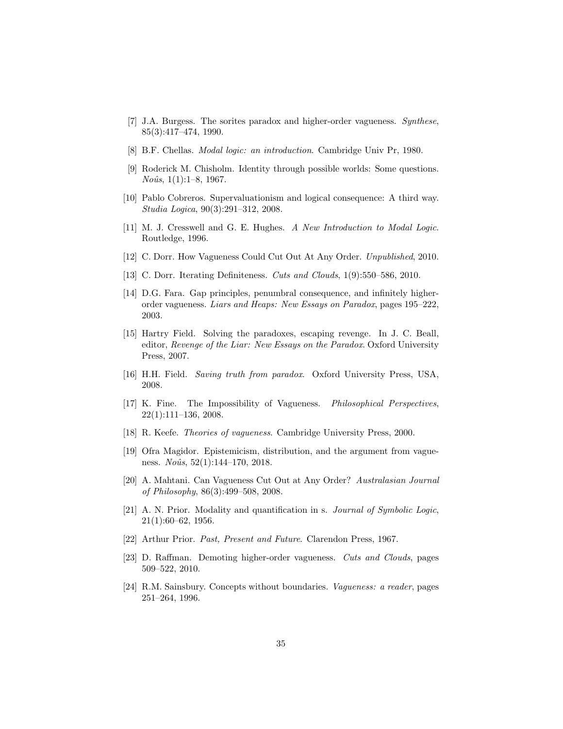- [7] J.A. Burgess. The sorites paradox and higher-order vagueness. Synthese, 85(3):417–474, 1990.
- [8] B.F. Chellas. Modal logic: an introduction. Cambridge Univ Pr, 1980.
- [9] Roderick M. Chisholm. Identity through possible worlds: Some questions.  $No\hat{u}s$ , 1(1):1–8, 1967.
- [10] Pablo Cobreros. Supervaluationism and logical consequence: A third way. Studia Logica, 90(3):291–312, 2008.
- [11] M. J. Cresswell and G. E. Hughes. A New Introduction to Modal Logic. Routledge, 1996.
- [12] C. Dorr. How Vagueness Could Cut Out At Any Order. Unpublished, 2010.
- [13] C. Dorr. Iterating Definiteness. Cuts and Clouds, 1(9):550–586, 2010.
- [14] D.G. Fara. Gap principles, penumbral consequence, and infinitely higherorder vagueness. Liars and Heaps: New Essays on Paradox, pages 195–222, 2003.
- [15] Hartry Field. Solving the paradoxes, escaping revenge. In J. C. Beall, editor, Revenge of the Liar: New Essays on the Paradox. Oxford University Press, 2007.
- [16] H.H. Field. Saving truth from paradox. Oxford University Press, USA, 2008.
- [17] K. Fine. The Impossibility of Vagueness. Philosophical Perspectives, 22(1):111–136, 2008.
- [18] R. Keefe. Theories of vagueness. Cambridge University Press, 2000.
- [19] Ofra Magidor. Epistemicism, distribution, and the argument from vagueness.  $No\hat{u}s$ ,  $52(1):144-170$ ,  $2018$ .
- [20] A. Mahtani. Can Vagueness Cut Out at Any Order? Australasian Journal of Philosophy, 86(3):499–508, 2008.
- [21] A. N. Prior. Modality and quantification in s. Journal of Symbolic Logic, 21(1):60–62, 1956.
- [22] Arthur Prior. Past, Present and Future. Clarendon Press, 1967.
- [23] D. Raffman. Demoting higher-order vagueness. Cuts and Clouds, pages 509–522, 2010.
- [24] R.M. Sainsbury. Concepts without boundaries. Vagueness: a reader, pages 251–264, 1996.